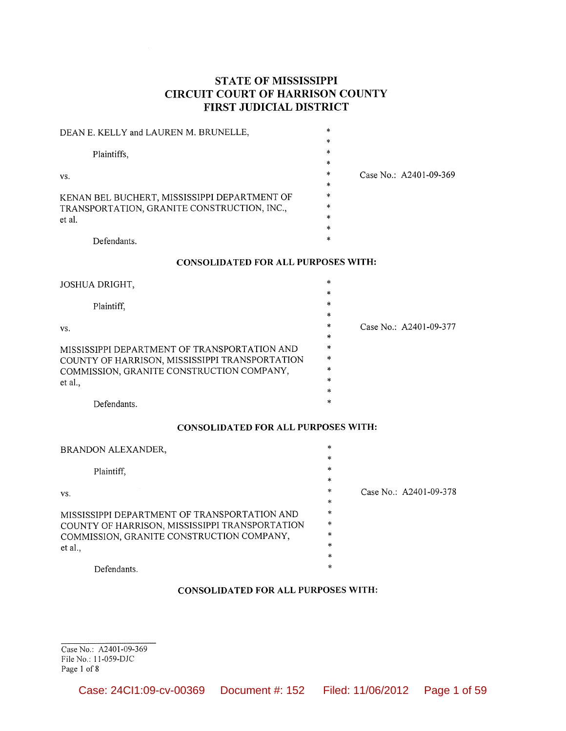# STATE OF MISSISSIPPI **CIRCUIT COURT OF HARRISON COUNTY** FIRST JUDICIAL DISTRICT

| DEAN E. KELLY and LAUREN M. BRUNELLE,        | *      |                          |
|----------------------------------------------|--------|--------------------------|
|                                              | *      |                          |
| Plaintiffs,                                  | $\ast$ |                          |
|                                              | $\ast$ |                          |
| VS.                                          | *      | Case No.: $A2401-09-369$ |
|                                              | $\ast$ |                          |
| KENAN BEL BUCHERT, MISSISSIPPI DEPARTMENT OF | $\ast$ |                          |
| TRANSPORTATION, GRANITE CONSTRUCTION, INC.,  | $\ast$ |                          |
| et al.                                       | $\ast$ |                          |
|                                              | *      |                          |
| Defendants.                                  | $\ast$ |                          |

#### **CONSOLIDATED FOR ALL PURPOSES WITH:**

| JOSHUA DRIGHT,                                 | $\ast$  |                        |
|------------------------------------------------|---------|------------------------|
|                                                | $\ast$  |                        |
| Plaintiff,                                     | *       |                        |
|                                                | $\star$ |                        |
| VS.                                            | $\ast$  | Case No.: A2401-09-377 |
|                                                | $\ast$  |                        |
| MISSISSIPPI DEPARTMENT OF TRANSPORTATION AND   | $\ast$  |                        |
| COUNTY OF HARRISON, MISSISSIPPI TRANSPORTATION | $\ast$  |                        |
| COMMISSION, GRANITE CONSTRUCTION COMPANY,      | $\ast$  |                        |
| et al.,                                        | $\ast$  |                        |
|                                                | $\ast$  |                        |
| Defendants.                                    | $\ast$  |                        |

#### **CONSOLIDATED FOR ALL PURPOSES WITH:**

| BRANDON ALEXANDER,                             | *      |                        |
|------------------------------------------------|--------|------------------------|
|                                                | $\ast$ |                        |
| Plaintiff,                                     | $\ast$ |                        |
|                                                | *      |                        |
| VS.                                            | *      | Case No.: A2401-09-378 |
|                                                | *      |                        |
| MISSISSIPPI DEPARTMENT OF TRANSPORTATION AND   | $\ast$ |                        |
| COUNTY OF HARRISON, MISSISSIPPI TRANSPORTATION | *      |                        |
| COMMISSION, GRANITE CONSTRUCTION COMPANY,      | $\ast$ |                        |
| et al.,                                        | $\ast$ |                        |
|                                                | $\ast$ |                        |
| Defendants.                                    | $\ast$ |                        |

#### **CONSOLIDATED FOR ALL PURPOSES WITH:**

Case No.: A2401-09-369 File No.: 11-059-DJC Page 1 of 8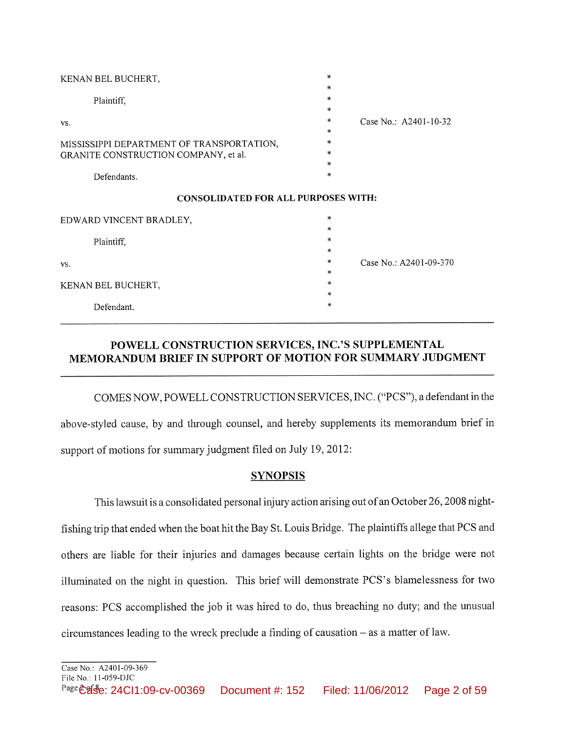| KENAN BEL BUCHERT,                         | $\ast$<br>*       |                        |
|--------------------------------------------|-------------------|------------------------|
| Plaintiff,                                 | *                 |                        |
| VS.                                        | *<br>$\ast$       | Case No.: A2401-10-32  |
| MISSISSIPPI DEPARTMENT OF TRANSPORTATION,  | $\ast$<br>$\ast$  |                        |
| GRANITE CONSTRUCTION COMPANY, et al.       | $\ast$<br>$\ast$  |                        |
| Defendants.                                | $\ast$            |                        |
| <b>CONSOLIDATED FOR ALL PURPOSES WITH:</b> |                   |                        |
| EDWARD VINCENT BRADLEY,                    | $\ast$<br>$\star$ |                        |
| Plaintiff,                                 | $\ast$            |                        |
| VS.                                        | $\ast$<br>*       | Case No.: A2401-09-370 |
| KENAN BEL BUCHERT,                         | $\ast$<br>$\ast$  |                        |
| Defendant.                                 | $\ast$<br>$\ast$  |                        |

# POWELL CONSTRUCTION SERVICES, INC.'S SUPPLEMENTAL MEMORANDUM BRIEF IN SUPPORT OF MOTION FOR SUMMARY JUDGMENT

COMES NOW, POWELL CONSTRUCTION SERVICES, INC. ("PCS"), a defendant in the above-styled cause, by and through counsel, and hereby supplements its memorandum brief in support of motions for summary judgment filed on July 19, 2012:

## **SYNOPSIS**

This lawsuit is a consolidated personal injury action arising out of an October 26, 2008 nightfishing trip that ended when the boat hit the Bay St. Louis Bridge. The plaintiffs allege that PCS and others are liable for their injuries and damages because certain lights on the bridge were not illuminated on the night in question. This brief will demonstrate PCS's blamelessness for two reasons: PCS accomplished the job it was hired to do, thus breaching no duty; and the unusual  $circumstances$  leading to the wreck preclude a finding of causation  $-$  as a matter of law.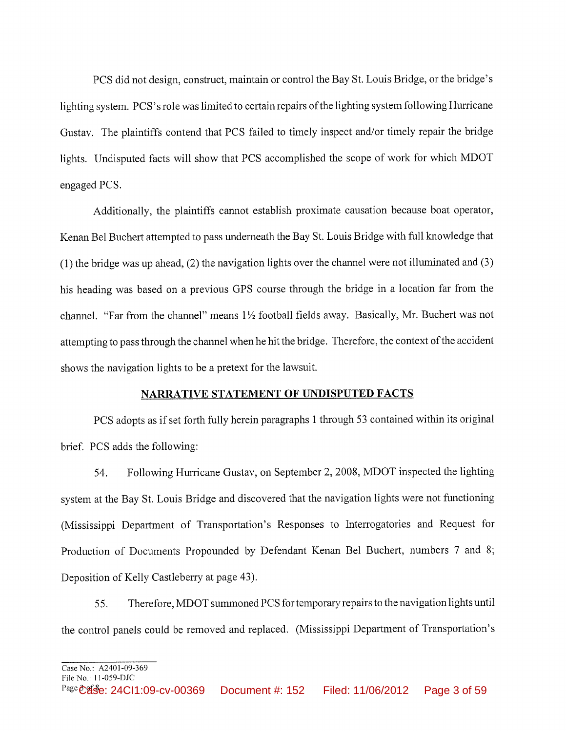PCS did not design, construct, maintain or control the Bay St. Louis Bridge, or the bridge's lighting system. PCS's role was limited to certain repairs of the lighting system following Hurricane Gustav. The plaintiffs contend that PCS failed to timely inspect and/or timely repair the bridge lights. Undisputed facts will show that PCS accomplished the scope of work for which MDOT engaged PCS.

Additionally, the plaintiffs cannot establish proximate causation because boat operator, Kenan Bel Buchert attempted to pass underneath the Bay St. Louis Bridge with full knowledge that  $(1)$  the bridge was up ahead, (2) the navigation lights over the channel were not illuminated and (3) his heading was based on a previous GPS course through the bridge in a location far from the channel. "Far from the channel" means 11/2 football fields away. Basically, Mr. Buchert was not attempting to pass through the channel when he hit the bridge. Therefore, the context of the accident shows the navigation lights to be a pretext for the lawsuit.

#### NARRATIVE STATEMENT OF UNDISPUTED FACTS

PCS adopts as if set forth fully herein paragraphs 1 through 53 contained within its original brief. PCS adds the following:

Following Hurricane Gustav, on September 2, 2008, MDOT inspected the lighting 54. system at the Bay St. Louis Bridge and discovered that the navigation lights were not functioning (Mississippi Department of Transportation's Responses to Interrogatories and Request for Production of Documents Propounded by Defendant Kenan Bel Buchert, numbers 7 and 8; Deposition of Kelly Castleberry at page 43).

Therefore, MDOT summoned PCS for temporary repairs to the navigation lights until 55. the control panels could be removed and replaced. (Mississippi Department of Transportation's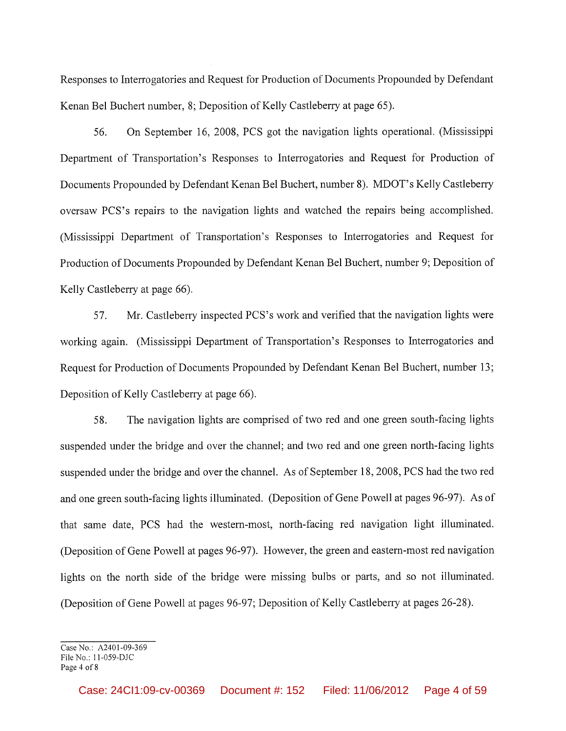Responses to Interrogatories and Request for Production of Documents Propounded by Defendant Kenan Bel Buchert number, 8; Deposition of Kelly Castleberry at page 65).

56. On September 16, 2008, PCS got the navigation lights operational. (Mississippi Department of Transportation's Responses to Interrogatories and Request for Production of Documents Propounded by Defendant Kenan Bel Buchert, number 8). MDOT's Kelly Castleberry oversaw PCS's repairs to the navigation lights and watched the repairs being accomplished. (Mississippi Department of Transportation's Responses to Interrogatories and Request for Production of Documents Propounded by Defendant Kenan Bel Buchert, number 9; Deposition of Kelly Castleberry at page 66).

57. Mr. Castleberry inspected PCS's work and verified that the navigation lights were working again. (Mississippi Department of Transportation's Responses to Interrogatories and Request for Production of Documents Propounded by Defendant Kenan Bel Buchert, number 13; Deposition of Kelly Castleberry at page 66).

The navigation lights are comprised of two red and one green south-facing lights 58. suspended under the bridge and over the channel; and two red and one green north-facing lights suspended under the bridge and over the channel. As of September 18, 2008, PCS had the two red and one green south-facing lights illuminated. (Deposition of Gene Powell at pages 96-97). As of that same date, PCS had the western-most, north-facing red navigation light illuminated. (Deposition of Gene Powell at pages 96-97). However, the green and eastern-most red navigation lights on the north side of the bridge were missing bulbs or parts, and so not illuminated. (Deposition of Gene Powell at pages 96-97; Deposition of Kelly Castleberry at pages 26-28).

Case No.: A2401-09-369 File No.: 11-059-DJC Page 4 of 8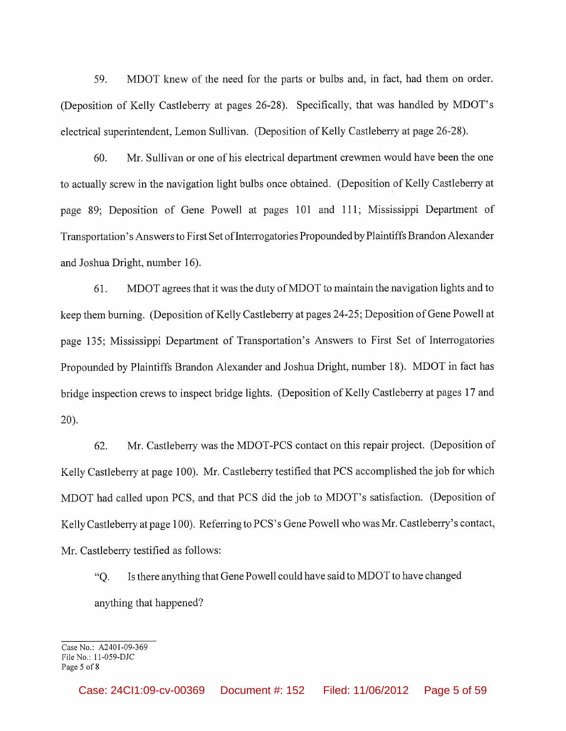59. MDOT knew of the need for the parts or bulbs and, in fact, had them on order. (Deposition of Kelly Castleberry at pages 26-28). Specifically, that was handled by MDOT's electrical superintendent, Lemon Sullivan. (Deposition of Kelly Castleberry at page 26-28).

60. Mr. Sullivan or one of his electrical department crewmen would have been the one to actually screw in the navigation light bulbs once obtained. (Deposition of Kelly Castleberry at page 89; Deposition of Gene Powell at pages 101 and 111; Mississippi Department of Transportation's Answers to First Set of Interrogatories Propounded by Plaintiffs Brandon Alexander and Joshua Dright, number 16).

MDOT agrees that it was the duty of MDOT to maintain the navigation lights and to 61. keep them burning. (Deposition of Kelly Castleberry at pages 24-25; Deposition of Gene Powell at page 135; Mississippi Department of Transportation's Answers to First Set of Interrogatories Propounded by Plaintiffs Brandon Alexander and Joshua Dright, number 18). MDOT in fact has bridge inspection crews to inspect bridge lights. (Deposition of Kelly Castleberry at pages 17 and  $20$ ).

Mr. Castleberry was the MDOT-PCS contact on this repair project. (Deposition of 62. Kelly Castleberry at page 100). Mr. Castleberry testified that PCS accomplished the job for which MDOT had called upon PCS, and that PCS did the job to MDOT's satisfaction. (Deposition of Kelly Castleberry at page 100). Referring to PCS's Gene Powell who was Mr. Castleberry's contact, Mr. Castleberry testified as follows:

Is there anything that Gene Powell could have said to MDOT to have changed  $\mathrm{O}$ . anything that happened?

Case No.:  $\angle$ A2401-09-369 File No.: 11-059-DJC Page 5 of 8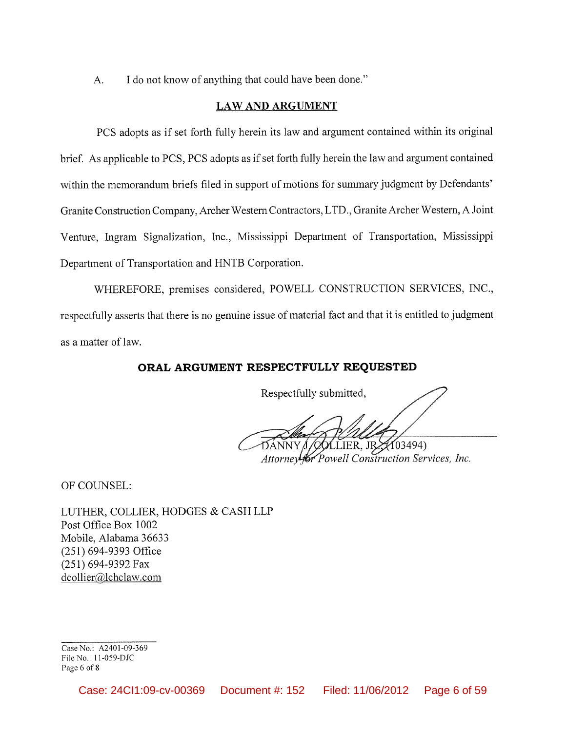I do not know of anything that could have been done."  $A<sub>1</sub>$ 

## **LAW AND ARGUMENT**

PCS adopts as if set forth fully herein its law and argument contained within its original brief. As applicable to PCS, PCS adopts as if set forth fully herein the law and argument contained within the memorandum briefs filed in support of motions for summary judgment by Defendants' Granite Construction Company, Archer Western Contractors, LTD., Granite Archer Western, A Joint Venture, Ingram Signalization, Inc., Mississippi Department of Transportation, Mississippi Department of Transportation and HNTB Corporation.

WHEREFORE, premises considered, POWELL CONSTRUCTION SERVICES, INC., respectfully asserts that there is no genuine issue of material fact and that it is entitled to judgment as a matter of law.

# ORAL ARGUMENT RESPECTFULLY REQUESTED

Respectfully submitted,

 $OLEER, JR<sub>2</sub>(103494)$ Attorneyfor Powell Construction Services, Inc.

OF COUNSEL:

LUTHER, COLLIER, HODGES & CASH LLP Post Office Box 1002 Mobile, Alabama 36633  $(251)$  694-9393 Office (251) 694-9392 Fax dcollier@lchclaw.com

Case No.: A2401-09-369 File No.: 11-059-DJC Page 6 of 8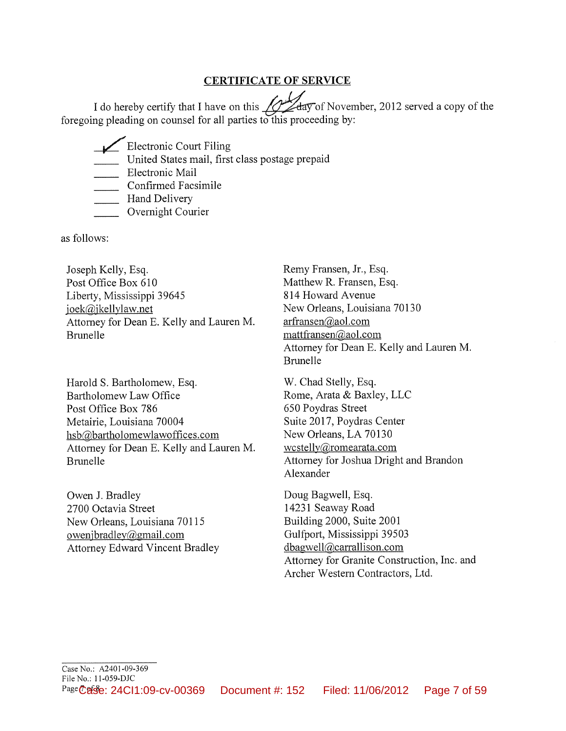# **CERTIFICATE OF SERVICE**

 $\varphi$ day of November, 2012 served a copy of the I do hereby certify that I have on this foregoing pleading on counsel for all parties to this proceeding by:

Electronic Court Filing

United States mail, first class postage prepaid

Electronic Mail

Confirmed Facsimile

**Hand Delivery** 

Overnight Courier

as follows:

Joseph Kelly, Esq. Post Office Box 610 Liberty, Mississippi 39645 joek@jkellylaw.net Attorney for Dean E. Kelly and Lauren M. **Brunelle** 

Harold S. Bartholomew, Esq. Bartholomew Law Office Post Office Box 786 Metairie, Louisiana 70004 hsb@bartholomewlawoffices.com Attorney for Dean E. Kelly and Lauren M. **Brunelle** 

Owen J. Bradley 2700 Octavia Street New Orleans, Louisiana 70115 owenjbradley@gmail.com **Attorney Edward Vincent Bradley**  Remy Fransen, Jr., Esq. Matthew R. Fransen, Esq. 814 Howard Avenue New Orleans, Louisiana 70130 arfransen@aol.com mattfransen@aol.com Attorney for Dean E. Kelly and Lauren M. **Brunelle** 

W. Chad Stelly, Esq. Rome, Arata & Baxley, LLC 650 Poydras Street Suite 2017, Poydras Center New Orleans, LA 70130 wcstelly@romearata.com Attorney for Joshua Dright and Brandon Alexander

Doug Bagwell, Esq. 14231 Seaway Road Building 2000, Suite 2001 Gulfport, Mississippi 39503 dbagwell@carrallison.com Attorney for Granite Construction, Inc. and Archer Western Contractors, Ltd.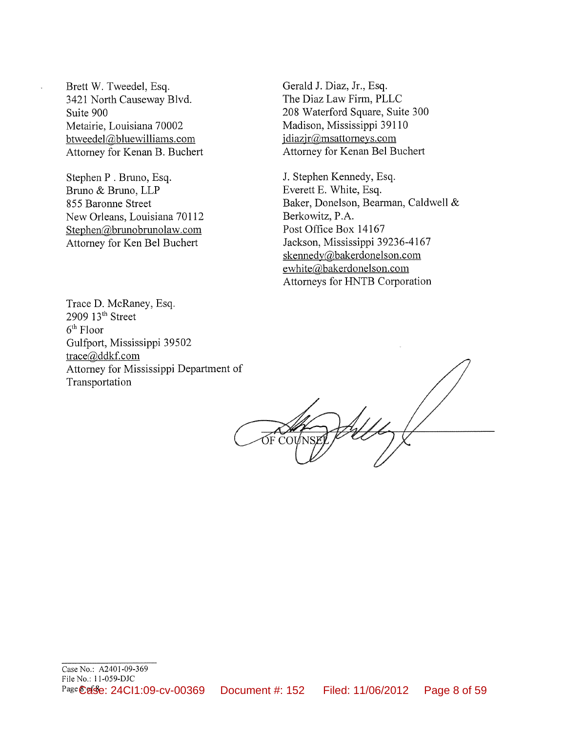Brett W. Tweedel, Esq. 3421 North Causeway Blvd. Suite 900 Metairie, Louisiana 70002 btweedel@bluewilliams.com Attorney for Kenan B. Buchert

Stephen P. Bruno, Esq. Bruno & Bruno, LLP 855 Baronne Street New Orleans, Louisiana 70112 Stephen@brunobrunolaw.com Attorney for Ken Bel Buchert

Gerald J. Diaz, Jr., Esq. The Diaz Law Firm, PLLC 208 Waterford Square, Suite 300 Madison, Mississippi 39110  $idiazir@msattorneys.com$ Attorney for Kenan Bel Buchert

J. Stephen Kennedy, Esq. Everett E. White, Esq. Baker, Donelson, Bearman, Caldwell & Berkowitz, P.A. Post Office Box 14167 Jackson, Mississippi 39236-4167 skennedy@bakerdonelson.com ewhite@bakerdonelson.com Attorneys for HNTB Corporation

Trace D. McRaney, Esq. 2909 13<sup>th</sup> Street  $6<sup>th</sup>$  Floor Gulfport, Mississippi 39502 trace@ddkf.com Attorney for Mississippi Department of Transportation

OF CO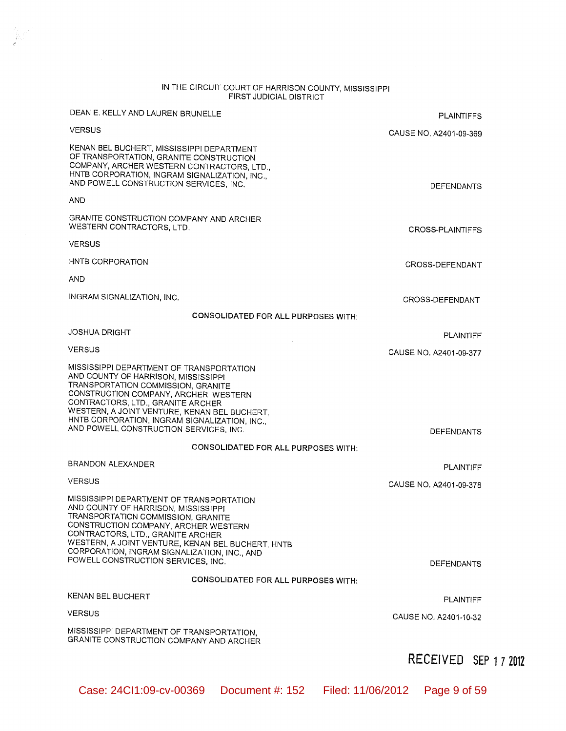# IN THE CIRCUIT COURT OF HARRISON COUNTY, MISSISSIPPI<br>FIRST JUDICIAL DISTRICT

| DEAN E. KELLY AND LAUREN BRUNELLE                                                                                                                                                                                                                                                                                                             | <b>PLAINTIFFS</b>      |
|-----------------------------------------------------------------------------------------------------------------------------------------------------------------------------------------------------------------------------------------------------------------------------------------------------------------------------------------------|------------------------|
| <b>VERSUS</b>                                                                                                                                                                                                                                                                                                                                 | CAUSE NO. A2401-09-369 |
| KENAN BEL BUCHERT, MISSISSIPPI DEPARTMENT<br>OF TRANSPORTATION, GRANITE CONSTRUCTION<br>COMPANY, ARCHER WESTERN CONTRACTORS, LTD.,<br>HNTB CORPORATION, INGRAM SIGNALIZATION, INC.,<br>AND POWELL CONSTRUCTION SERVICES, INC.                                                                                                                 | <b>DEFENDANTS</b>      |
| <b>AND</b>                                                                                                                                                                                                                                                                                                                                    |                        |
| GRANITE CONSTRUCTION COMPANY AND ARCHER<br>WESTERN CONTRACTORS, LTD.                                                                                                                                                                                                                                                                          | CROSS-PLAINTIFFS       |
| <b>VERSUS</b>                                                                                                                                                                                                                                                                                                                                 |                        |
| HNTB CORPORATION                                                                                                                                                                                                                                                                                                                              | CROSS-DEFENDANT        |
| AND                                                                                                                                                                                                                                                                                                                                           |                        |
| INGRAM SIGNALIZATION, INC.                                                                                                                                                                                                                                                                                                                    | CROSS-DEFENDANT        |
| <b>CONSOLIDATED FOR ALL PURPOSES WITH:</b>                                                                                                                                                                                                                                                                                                    |                        |
| <b>JOSHUA DRIGHT</b>                                                                                                                                                                                                                                                                                                                          | <b>PLAINTIFF</b>       |
| <b>VERSUS</b>                                                                                                                                                                                                                                                                                                                                 | CAUSE NO. A2401-09-377 |
| MISSISSIPPI DEPARTMENT OF TRANSPORTATION<br>AND COUNTY OF HARRISON, MISSISSIPPI<br>TRANSPORTATION COMMISSION, GRANITE<br>CONSTRUCTION COMPANY, ARCHER WESTERN<br>CONTRACTORS, LTD., GRANITE ARCHER<br>WESTERN, A JOINT VENTURE, KENAN BEL BUCHERT,<br>HNTB CORPORATION, INGRAM SIGNALIZATION, INC.,<br>AND POWELL CONSTRUCTION SERVICES, INC. | <b>DEFENDANTS</b>      |
| <b>CONSOLIDATED FOR ALL PURPOSES WITH:</b>                                                                                                                                                                                                                                                                                                    |                        |
| BRANDON ALEXANDER                                                                                                                                                                                                                                                                                                                             | <b>PLAINTIFF</b>       |
| <b>VERSUS</b>                                                                                                                                                                                                                                                                                                                                 | CAUSE NO. A2401-09-378 |
| MISSISSIPPI DEPARTMENT OF TRANSPORTATION<br>AND COUNTY OF HARRISON, MISSISSIPPI<br>TRANSPORTATION COMMISSION, GRANITE<br>CONSTRUCTION COMPANY, ARCHER WESTERN<br>CONTRACTORS, LTD., GRANITE ARCHER<br>WESTERN, A JOINT VENTURE, KENAN BEL BUCHERT, HNTB<br>CORPORATION, INGRAM SIGNALIZATION, INC., AND<br>POWELL CONSTRUCTION SERVICES, INC. | <b>DEFENDANTS</b>      |
| <b>CONSOLIDATED FOR ALL PURPOSES WITH:</b>                                                                                                                                                                                                                                                                                                    |                        |
| KENAN BEL BUCHERT                                                                                                                                                                                                                                                                                                                             |                        |
| <b>VERSUS</b>                                                                                                                                                                                                                                                                                                                                 | <b>PLAINTIFF</b>       |
| MISSISSIPPI DEPARTMENT OF TRANSPORTATION,<br>GRANITE CONSTRUCTION COMPANY AND ARCHER                                                                                                                                                                                                                                                          | CAUSE NO. A2401-10-32  |

# RECEIVED SEP 17 2012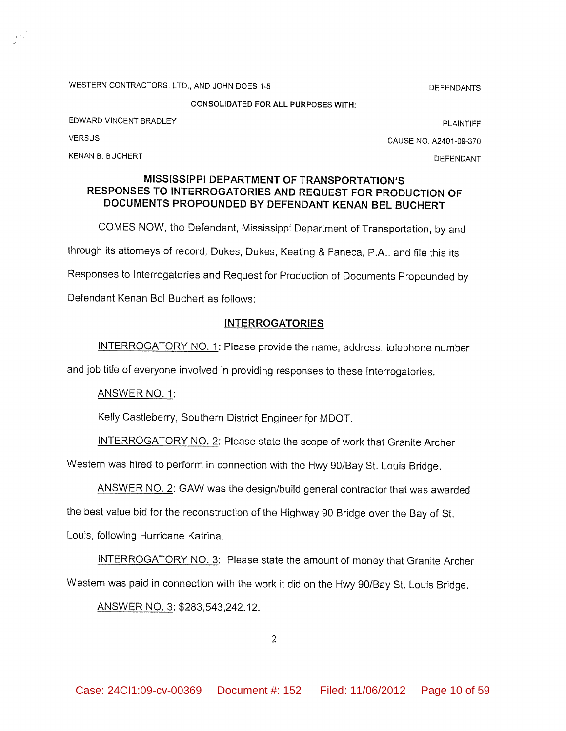WESTERN CONTRACTORS, LTD., AND JOHN DOES 1-5

**CONSOLIDATED FOR ALL PURPOSES WITH:** 

EDWARD VINCENT BRADLEY

**PLAINTIFF** 

**DEFENDANTS** 

CAUSE NO. A2401-09-370

KENAN B. BUCHERT

**VERSUS** 

DEFENDANT

### MISSISSIPPI DEPARTMENT OF TRANSPORTATION'S RESPONSES TO INTERROGATORIES AND REQUEST FOR PRODUCTION OF DOCUMENTS PROPOUNDED BY DEFENDANT KENAN BEL BUCHERT

COMES NOW, the Defendant, Mississippi Department of Transportation, by and through its attorneys of record, Dukes, Dukes, Keating & Faneca, P.A., and file this its Responses to Interrogatories and Request for Production of Documents Propounded by Defendant Kenan Bel Buchert as follows:

# **INTERROGATORIES**

INTERROGATORY NO. 1: Please provide the name, address, telephone number

and job title of everyone involved in providing responses to these Interrogatories.

ANSWER NO. 1:

Kelly Castleberry, Southern District Engineer for MDOT.

INTERROGATORY NO. 2: Please state the scope of work that Granite Archer

Western was hired to perform in connection with the Hwy 90/Bay St. Louis Bridge.

ANSWER NO. 2: GAW was the design/build general contractor that was awarded

the best value bid for the reconstruction of the Highway 90 Bridge over the Bay of St.

Louis, following Hurricane Katrina.

**INTERROGATORY NO. 3: Please state the amount of money that Granite Archer** Western was paid in connection with the work it did on the Hwy 90/Bay St. Louis Bridge.

ANSWER NO. 3: \$283,543,242.12.

 $\overline{2}$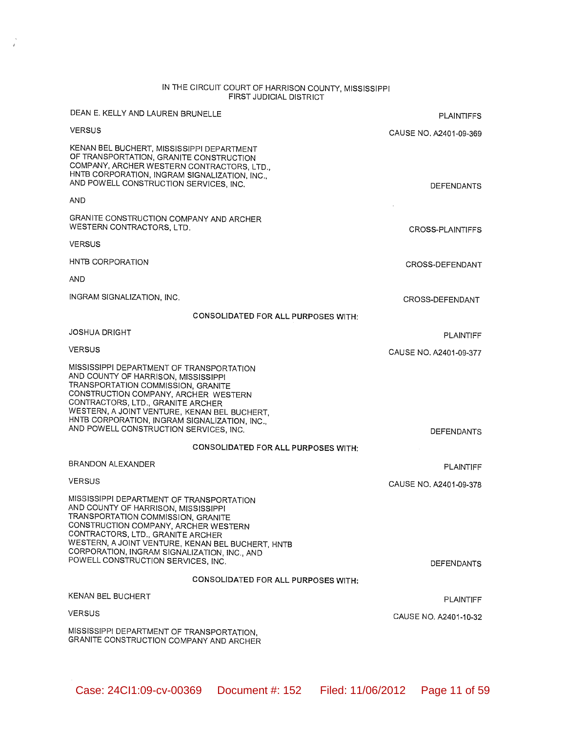# IN THE CIRCUIT COURT OF HARRISON COUNTY, MISSISSIPPI<br>FIRST JUDICIAL DISTRICT

 $\frac{1}{d}$ 

| DEAN E. KELLY AND LAUREN BRUNELLE                                                                                                                                                                                                                                                                                                             | <b>PLAINTIFFS</b>      |
|-----------------------------------------------------------------------------------------------------------------------------------------------------------------------------------------------------------------------------------------------------------------------------------------------------------------------------------------------|------------------------|
| <b>VERSUS</b>                                                                                                                                                                                                                                                                                                                                 | CAUSE NO. A2401-09-369 |
| KENAN BEL BUCHERT, MISSISSIPPI DEPARTMENT<br>OF TRANSPORTATION, GRANITE CONSTRUCTION<br>COMPANY, ARCHER WESTERN CONTRACTORS, LTD.,<br>HNTB CORPORATION, INGRAM SIGNALIZATION, INC.,<br>AND POWELL CONSTRUCTION SERVICES, INC.                                                                                                                 | <b>DEFENDANTS</b>      |
| AND                                                                                                                                                                                                                                                                                                                                           |                        |
| GRANITE CONSTRUCTION COMPANY AND ARCHER<br>WESTERN CONTRACTORS, LTD.                                                                                                                                                                                                                                                                          | CROSS-PLAINTIFFS       |
| <b>VERSUS</b>                                                                                                                                                                                                                                                                                                                                 |                        |
| HNTB CORPORATION                                                                                                                                                                                                                                                                                                                              | CROSS-DEFENDANT        |
| AND                                                                                                                                                                                                                                                                                                                                           |                        |
| INGRAM SIGNALIZATION, INC.                                                                                                                                                                                                                                                                                                                    | CROSS-DEFENDANT        |
| CONSOLIDATED FOR ALL PURPOSES WITH:                                                                                                                                                                                                                                                                                                           |                        |
| <b>JOSHUA DRIGHT</b>                                                                                                                                                                                                                                                                                                                          | PLAINTIFF              |
| <b>VERSUS</b>                                                                                                                                                                                                                                                                                                                                 | CAUSE NO. A2401-09-377 |
| MISSISSIPPI DEPARTMENT OF TRANSPORTATION<br>AND COUNTY OF HARRISON, MISSISSIPPI<br>TRANSPORTATION COMMISSION, GRANITE<br>CONSTRUCTION COMPANY, ARCHER WESTERN<br>CONTRACTORS, LTD., GRANITE ARCHER<br>WESTERN, A JOINT VENTURE, KENAN BEL BUCHERT,<br>HNTB CORPORATION, INGRAM SIGNALIZATION, INC.,<br>AND POWELL CONSTRUCTION SERVICES, INC. | <b>DEFENDANTS</b>      |
| <b>CONSOLIDATED FOR ALL PURPOSES WITH:</b>                                                                                                                                                                                                                                                                                                    |                        |
| BRANDON ALEXANDER                                                                                                                                                                                                                                                                                                                             | PLAINTIFF              |
| <b>VERSUS</b>                                                                                                                                                                                                                                                                                                                                 | CAUSE NO. A2401-09-378 |
| MISSISSIPPI DEPARTMENT OF TRANSPORTATION<br>AND COUNTY OF HARRISON, MISSISSIPPI<br>TRANSPORTATION COMMISSION, GRANITE<br>CONSTRUCTION COMPANY, ARCHER WESTERN<br>CONTRACTORS, LTD., GRANITE ARCHER<br>WESTERN, A JOINT VENTURE, KENAN BEL BUCHERT, HNTB<br>CORPORATION, INGRAM SIGNALIZATION, INC., AND<br>POWELL CONSTRUCTION SERVICES, INC. | <b>DEFENDANTS</b>      |
| CONSOLIDATED FOR ALL PURPOSES WITH:                                                                                                                                                                                                                                                                                                           |                        |
| KENAN BEL BUCHERT                                                                                                                                                                                                                                                                                                                             | <b>PLAINTIFF</b>       |
| <b>VERSUS</b>                                                                                                                                                                                                                                                                                                                                 | CAUSE NO. A2401-10-32  |
| MISSISSIPPI DEPARTMENT OF TRANSPORTATION,<br>GRANITE CONSTRUCTION COMPANY AND ARCHER                                                                                                                                                                                                                                                          |                        |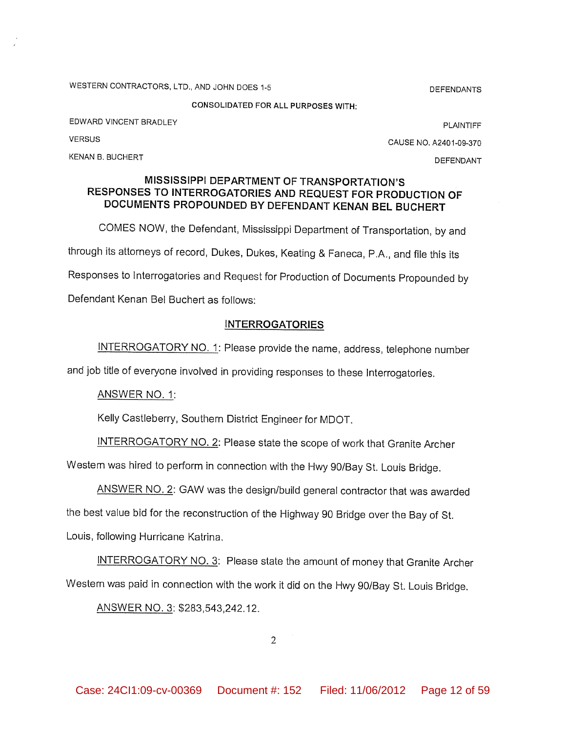WESTERN CONTRACTORS, LTD., AND JOHN DOES 1-5

**DEFENDANTS** 

**CONSOLIDATED FOR ALL PURPOSES WITH:** 

EDWARD VINCENT BRADLEY

**VERSUS** 

KENAN B. BUCHERT

**PLAINTIFF** CAUSE NO. A2401-09-370

**DEFENDANT** 

### MISSISSIPPI DEPARTMENT OF TRANSPORTATION'S RESPONSES TO INTERROGATORIES AND REQUEST FOR PRODUCTION OF DOCUMENTS PROPOUNDED BY DEFENDANT KENAN BEL BUCHERT

COMES NOW, the Defendant, Mississippi Department of Transportation, by and through its attorneys of record, Dukes, Dukes, Keating & Faneca, P.A., and file this its Responses to Interrogatories and Request for Production of Documents Propounded by Defendant Kenan Bel Buchert as follows:

## **INTERROGATORIES**

INTERROGATORY NO. 1: Please provide the name, address, telephone number

and job title of everyone involved in providing responses to these Interrogatories.

ANSWER NO. 1:

Kelly Castleberry, Southern District Engineer for MDOT.

INTERROGATORY NO. 2: Please state the scope of work that Granite Archer

Western was hired to perform in connection with the Hwy 90/Bay St. Louis Bridge.

ANSWER NO. 2: GAW was the design/build general contractor that was awarded

the best value bid for the reconstruction of the Highway 90 Bridge over the Bay of St.

Louis, following Hurricane Katrina.

INTERROGATORY NO. 3: Please state the amount of money that Granite Archer Western was paid in connection with the work it did on the Hwy 90/Bay St. Louis Bridge.

ANSWER NO. 3: \$283,543,242.12.

 $\overline{2}$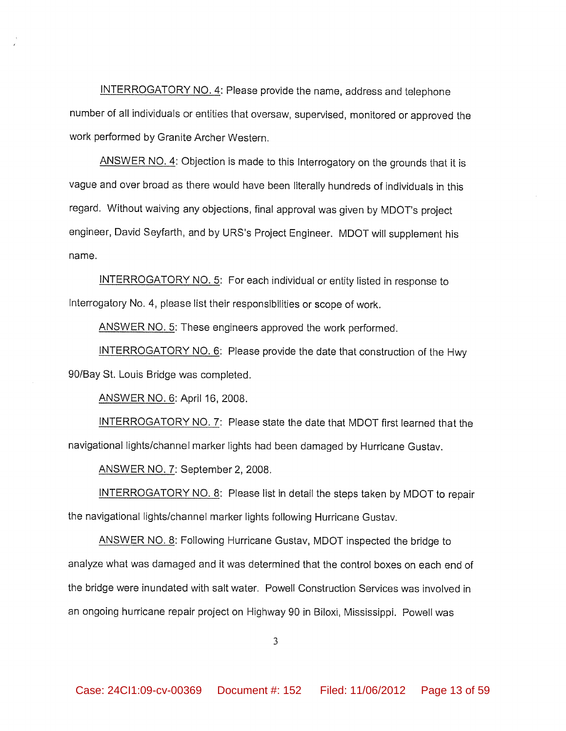INTERROGATORY NO. 4: Please provide the name, address and telephone number of all individuals or entities that oversaw, supervised, monitored or approved the work performed by Granite Archer Western.

ANSWER NO. 4: Objection is made to this Interrogatory on the grounds that it is vague and over broad as there would have been literally hundreds of individuals in this regard. Without waiving any objections, final approval was given by MDOT's project engineer, David Seyfarth, and by URS's Project Engineer. MDOT will supplement his name.

INTERROGATORY NO. 5: For each individual or entity listed in response to Interrogatory No. 4, please list their responsibilities or scope of work.

ANSWER NO. 5: These engineers approved the work performed.

INTERROGATORY NO. 6: Please provide the date that construction of the Hwy 90/Bay St. Louis Bridge was completed.

ANSWER NO. 6: April 16, 2008.

INTERROGATORY NO. 7: Please state the date that MDOT first learned that the navigational lights/channel marker lights had been damaged by Hurricane Gustav.

ANSWER NO. 7: September 2, 2008.

INTERROGATORY NO. 8: Please list in detail the steps taken by MDOT to repair the navigational lights/channel marker lights following Hurricane Gustav.

ANSWER NO. 8: Following Hurricane Gustav, MDOT inspected the bridge to analyze what was damaged and it was determined that the control boxes on each end of the bridge were inundated with salt water. Powell Construction Services was involved in an ongoing hurricane repair project on Highway 90 in Biloxi, Mississippi. Powell was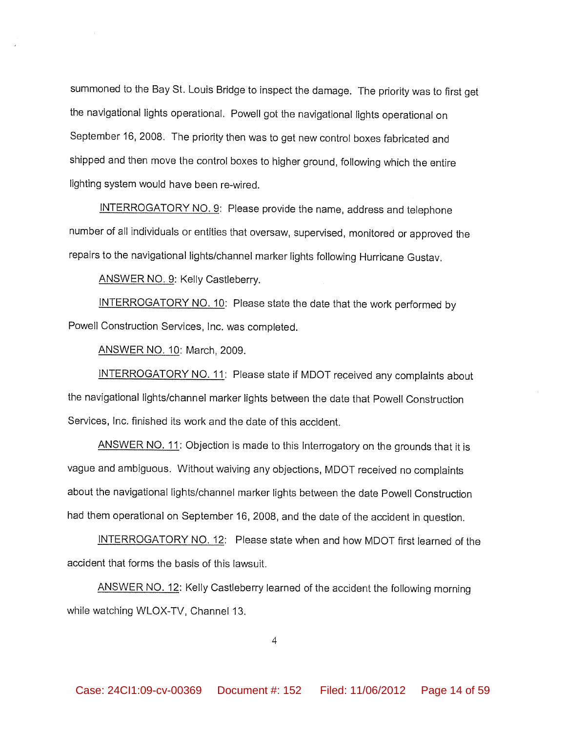summoned to the Bay St. Louis Bridge to inspect the damage. The priority was to first get the navigational lights operational. Powell got the navigational lights operational on September 16, 2008. The priority then was to get new control boxes fabricated and shipped and then move the control boxes to higher ground, following which the entire lighting system would have been re-wired.

INTERROGATORY NO. 9: Please provide the name, address and telephone number of all individuals or entities that oversaw, supervised, monitored or approved the repairs to the navigational lights/channel marker lights following Hurricane Gustav.

ANSWER NO. 9: Kelly Castleberry.

INTERROGATORY NO. 10: Please state the date that the work performed by Powell Construction Services, Inc. was completed.

**ANSWER NO. 10: March, 2009.** 

INTERROGATORY NO. 11: Please state if MDOT received any complaints about the navigational lights/channel marker lights between the date that Powell Construction Services, Inc. finished its work and the date of this accident.

ANSWER NO. 11: Objection is made to this Interrogatory on the grounds that it is vague and ambiguous. Without waiving any objections, MDOT received no complaints about the navigational lights/channel marker lights between the date Powell Construction had them operational on September 16, 2008, and the date of the accident in question.

INTERROGATORY NO. 12: Please state when and how MDOT first learned of the accident that forms the basis of this lawsuit.

ANSWER NO. 12: Kelly Castleberry learned of the accident the following morning while watching WLOX-TV, Channel 13.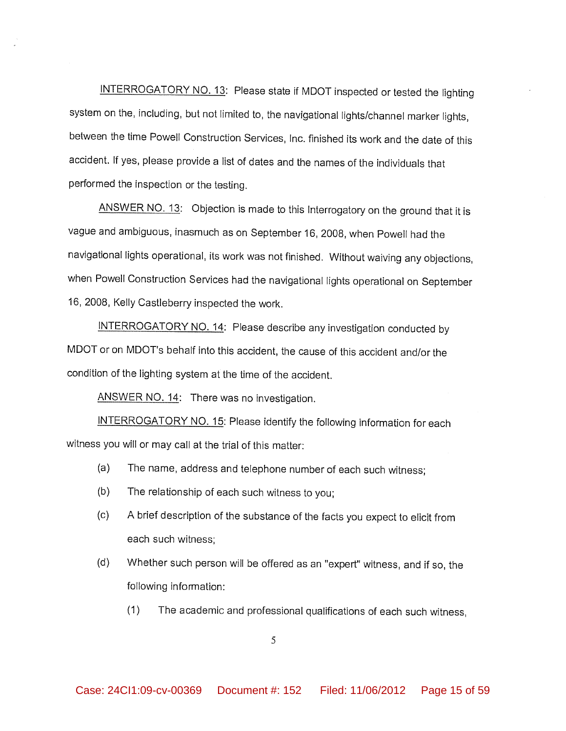INTERROGATORY NO. 13: Please state if MDOT inspected or tested the lighting system on the, including, but not limited to, the navigational lights/channel marker lights, between the time Powell Construction Services, Inc. finished its work and the date of this accident. If yes, please provide a list of dates and the names of the individuals that performed the inspection or the testing.

ANSWER NO. 13: Objection is made to this Interrogatory on the ground that it is vague and ambiguous, inasmuch as on September 16, 2008, when Powell had the navigational lights operational, its work was not finished. Without waiving any objections, when Powell Construction Services had the navigational lights operational on September 16, 2008, Kelly Castleberry inspected the work.

INTERROGATORY NO. 14: Please describe any investigation conducted by MDOT or on MDOT's behalf into this accident, the cause of this accident and/or the condition of the lighting system at the time of the accident.

ANSWER NO. 14: There was no investigation.

INTERROGATORY NO. 15: Please identify the following information for each witness you will or may call at the trial of this matter:

- The name, address and telephone number of each such witness; (a)
- $(b)$ The relationship of each such witness to you;
- $(c)$ A brief description of the substance of the facts you expect to elicit from each such witness:
- $(d)$ Whether such person will be offered as an "expert" witness, and if so, the following information:
	- $(1)$ The academic and professional qualifications of each such witness,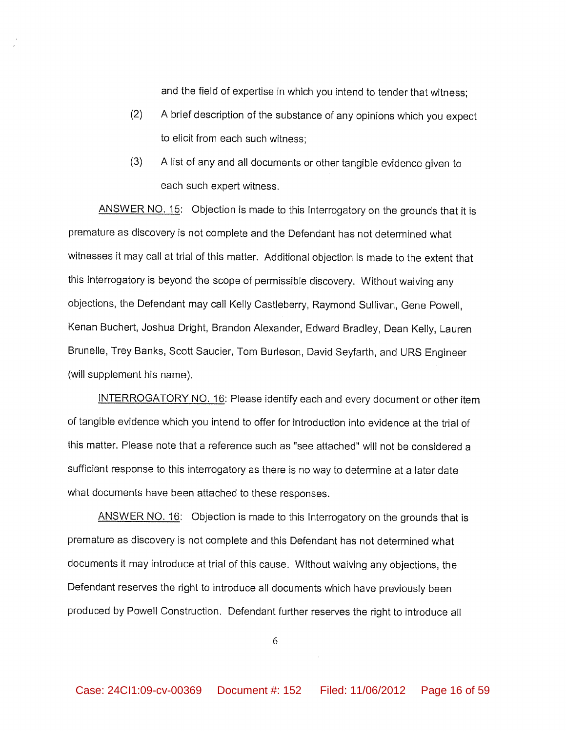and the field of expertise in which you intend to tender that witness:

- $(2)$ A brief description of the substance of any opinions which you expect to elicit from each such witness:
- $(3)$ A list of any and all documents or other tangible evidence given to each such expert witness.

ANSWER NO. 15: Objection is made to this Interrogatory on the grounds that it is premature as discovery is not complete and the Defendant has not determined what witnesses it may call at trial of this matter. Additional objection is made to the extent that this Interrogatory is beyond the scope of permissible discovery. Without waiving any objections, the Defendant may call Kelly Castleberry, Raymond Sullivan, Gene Powell, Kenan Buchert, Joshua Dright, Brandon Alexander, Edward Bradley, Dean Kelly, Lauren Brunelle, Trey Banks, Scott Saucier, Tom Burleson, David Seyfarth, and URS Engineer (will supplement his name).

INTERROGATORY NO. 16: Please identify each and every document or other item of tangible evidence which you intend to offer for introduction into evidence at the trial of this matter. Please note that a reference such as "see attached" will not be considered a sufficient response to this interrogatory as there is no way to determine at a later date what documents have been attached to these responses.

ANSWER NO. 16: Objection is made to this Interrogatory on the grounds that is premature as discovery is not complete and this Defendant has not determined what documents it may introduce at trial of this cause. Without waiving any objections, the Defendant reserves the right to introduce all documents which have previously been produced by Powell Construction. Defendant further reserves the right to introduce all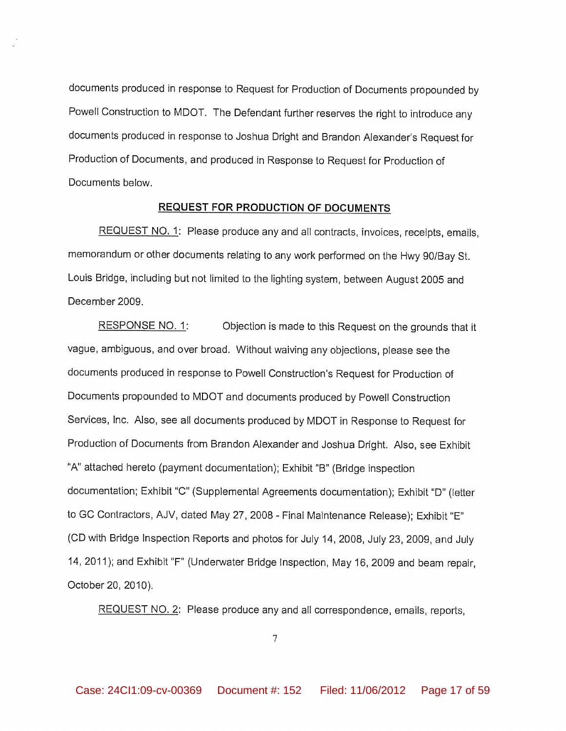documents produced in response to Request for Production of Documents propounded by Powell Construction to MDOT. The Defendant further reserves the right to introduce any documents produced in response to Joshua Dright and Brandon Alexander's Request for Production of Documents, and produced in Response to Request for Production of Documents below.

#### **REQUEST FOR PRODUCTION OF DOCUMENTS**

REQUEST NO. 1: Please produce any and all contracts, invoices, receipts, emails, memorandum or other documents relating to any work performed on the Hwy 90/Bay St. Louis Bridge, including but not limited to the lighting system, between August 2005 and December 2009.

RESPONSE NO. 1: Objection is made to this Request on the grounds that it vague, ambiguous, and over broad. Without waiving any objections, please see the documents produced in response to Powell Construction's Request for Production of Documents propounded to MDOT and documents produced by Powell Construction Services, Inc. Also, see all documents produced by MDOT in Response to Request for Production of Documents from Brandon Alexander and Joshua Dright. Also, see Exhibit "A" attached hereto (payment documentation); Exhibit "B" (Bridge inspection documentation; Exhibit "C" (Supplemental Agreements documentation); Exhibit "D" (letter to GC Contractors, AJV, dated May 27, 2008 - Final Maintenance Release); Exhibit "E" (CD with Bridge Inspection Reports and photos for July 14, 2008, July 23, 2009, and July 14, 2011); and Exhibit "F" (Underwater Bridge Inspection, May 16, 2009 and beam repair, October 20, 2010).

REQUEST NO. 2: Please produce any and all correspondence, emails, reports,

 $\overline{7}$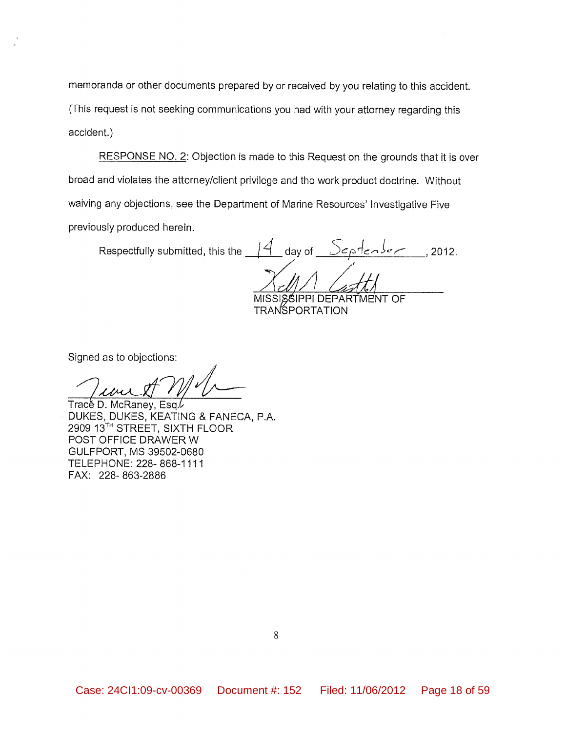memoranda or other documents prepared by or received by you relating to this accident. (This request is not seeking communications you had with your attorney regarding this accident.)

RESPONSE NO. 2: Objection is made to this Request on the grounds that it is over broad and violates the attorney/client privilege and the work product doctrine. Without waiving any objections, see the Department of Marine Resources' Investigative Five previously produced herein.

Respectfully submitted, this the  $\frac{14}{4}$  day of  $\frac{366}{400}$ , 2012.

MISSISSIPPI DEPARTMENT OF **TRANSPORTATION** 

Signed as to objections:

Trace D. McRaney, Esq. DUKES, DUKES, KEATING & FANECA, P.A. 2909 13TH STREET, SIXTH FLOOR POST OFFICE DRAWER W GULFPORT, MS 39502-0680 TELEPHONE: 228-868-1111 FAX: 228-863-2886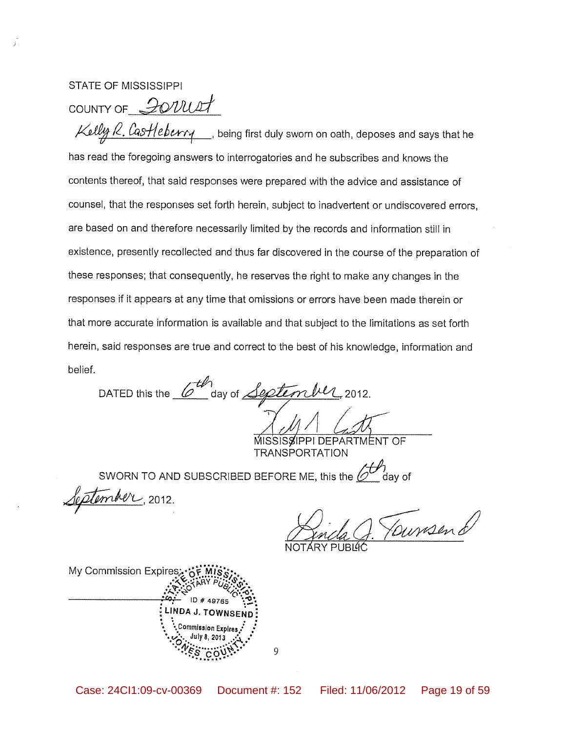#### **STATE OF MISSISSIPPI**

COUNTY OF 20UULT

Kelly R. Castleburry being first duly sworn on oath, deposes and says that he has read the foregoing answers to interrogatories and he subscribes and knows the contents thereof, that said responses were prepared with the advice and assistance of counsel, that the responses set forth herein, subject to inadvertent or undiscovered errors, are based on and therefore necessarily limited by the records and information still in existence, presently recollected and thus far discovered in the course of the preparation of these responses; that consequently, he reserves the right to make any changes in the responses if it appears at any time that omissions or errors have been made therein or that more accurate information is available and that subject to the limitations as set forth herein, said responses are true and correct to the best of his knowledge, information and belief.

DATED this the  $6\frac{th}{\sqrt{1}}$  day of  $\frac{gept_{\ell}}{1}$ ,  $\frac{1}{1}$ 

MISSISSIPPI DEPARTMENT OF **TRANSPORTATION** 

SWORN TO AND SUBSCRIBED BEFORE ME, this the  $\ell$ 

ember, 2012.

Foursend

My Commission Expires ommission Expires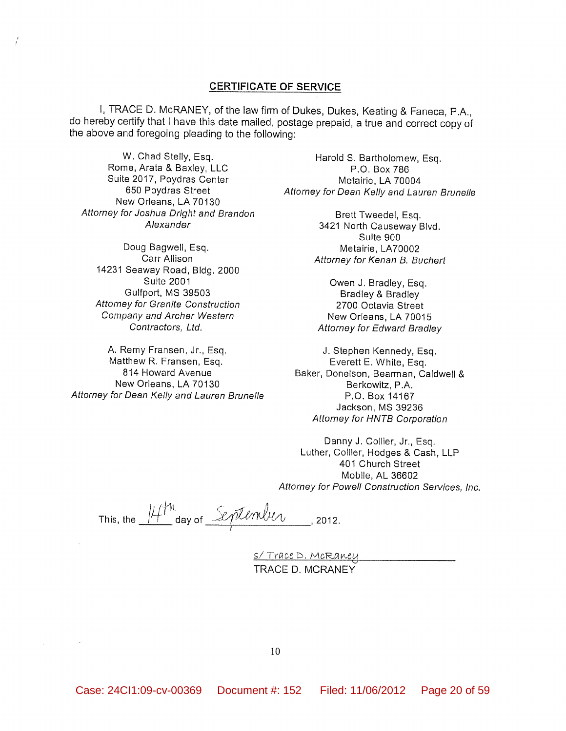#### **CERTIFICATE OF SERVICE**

I, TRACE D. McRANEY, of the law firm of Dukes, Dukes, Keating & Faneca, P.A., do hereby certify that I have this date mailed, postage prepaid, a true and correct copy of the above and foregoing pleading to the following:

W. Chad Stelly, Esq. Rome, Arata & Baxley, LLC Suite 2017, Poydras Center 650 Poydras Street New Orleans, LA 70130 Attorney for Joshua Dright and Brandon Alexander

Doug Bagwell, Esq. Carr Allison 14231 Seaway Road, Bldg. 2000 **Sulte 2001** Gulfport, MS 39503 Attorney for Granite Construction Company and Archer Western Contractors, Ltd.

A. Remy Fransen, Jr., Esq. Matthew R. Fransen, Esg. 814 Howard Avenue New Orleans, LA 70130 Attorney for Dean Kelly and Lauren Brunelle

Harold S. Bartholomew, Esq. P.O. Box 786 Metairie, LA 70004 Attorney for Dean Kelly and Lauren Brunelle

> Brett Tweedel, Esq. 3421 North Causeway Blvd. Suite 900 Metairie, LA70002 Attorney for Kenan B. Buchert

Owen J. Bradley, Esq. **Bradley & Bradley** 2700 Octavia Street New Orleans, LA 70015 Attorney for Edward Bradley

J. Stephen Kennedy, Esq. Everett E. White, Esq. Baker, Donelson, Bearman, Caldwell & Berkowitz, P.A. P.O. Box 14167 Jackson, MS 39236 Attorney for HNTB Corporation

Danny J. Collier, Jr., Esq. Luther, Collier, Hodges & Cash, LLP 401 Church Street Mobile, AL 36602 Attorney for Powell Construction Services, Inc.

This, the 14th day of September , 2012.

<u>S/Trace D. McRaney</u> TRACE D. MCRANEY

 $\sim$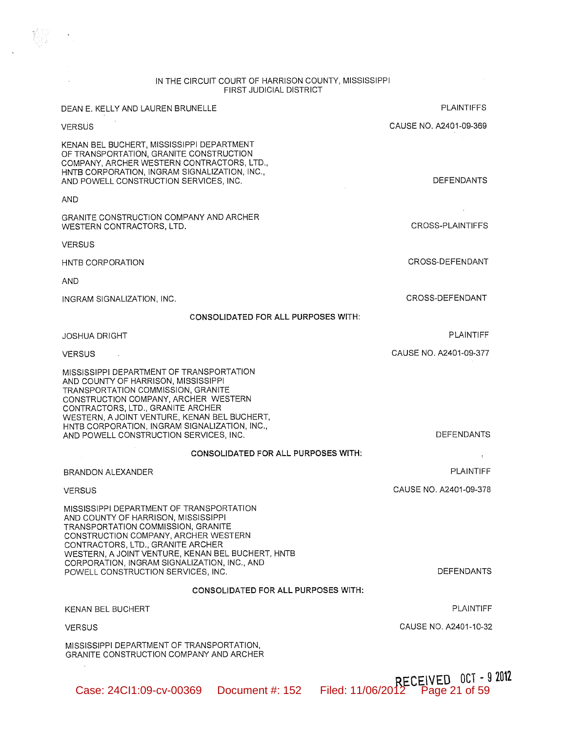# IN THE CIRCUIT COURT OF HARRISON COUNTY, MISSISSIPPI<br>FIRST JUDICIAL DISTRICT

 $\sim 10^{-11}$ 

| DEAN E. KELLY AND LAUREN BRUNELLE                                                                                                                                                                                                                                                                                                             | <b>PLAINTIFFS</b>                                        |
|-----------------------------------------------------------------------------------------------------------------------------------------------------------------------------------------------------------------------------------------------------------------------------------------------------------------------------------------------|----------------------------------------------------------|
| <b>VERSUS</b>                                                                                                                                                                                                                                                                                                                                 | CAUSE NO. A2401-09-369                                   |
| KENAN BEL BUCHERT, MISSISSIPPI DEPARTMENT<br>OF TRANSPORTATION, GRANITE CONSTRUCTION<br>COMPANY, ARCHER WESTERN CONTRACTORS, LTD.,<br>HNTB CORPORATION, INGRAM SIGNALIZATION, INC.,<br>AND POWELL CONSTRUCTION SERVICES, INC.                                                                                                                 | <b>DEFENDANTS</b>                                        |
| <b>AND</b>                                                                                                                                                                                                                                                                                                                                    |                                                          |
| <b>GRANITE CONSTRUCTION COMPANY AND ARCHER</b><br>WESTERN CONTRACTORS, LTD.                                                                                                                                                                                                                                                                   | CROSS-PLAINTIFFS                                         |
| <b>VERSUS</b>                                                                                                                                                                                                                                                                                                                                 |                                                          |
| HNTB CORPORATION                                                                                                                                                                                                                                                                                                                              | CROSS-DEFENDANT                                          |
| AND                                                                                                                                                                                                                                                                                                                                           |                                                          |
| INGRAM SIGNALIZATION, INC.                                                                                                                                                                                                                                                                                                                    | CROSS-DEFENDANT                                          |
| <b>CONSOLIDATED FOR ALL PURPOSES WITH:</b>                                                                                                                                                                                                                                                                                                    |                                                          |
| <b>JOSHUA DRIGHT</b>                                                                                                                                                                                                                                                                                                                          | <b>PLAINTIFF</b>                                         |
| <b>VERSUS</b><br>$\sim 100$ km s $^{-1}$                                                                                                                                                                                                                                                                                                      | CAUSE NO. A2401-09-377                                   |
| MISSISSIPPI DEPARTMENT OF TRANSPORTATION<br>AND COUNTY OF HARRISON, MISSISSIPPI<br>TRANSPORTATION COMMISSION, GRANITE<br>CONSTRUCTION COMPANY, ARCHER WESTERN<br>CONTRACTORS, LTD., GRANITE ARCHER<br>WESTERN, A JOINT VENTURE, KENAN BEL BUCHERT,<br>HNTB CORPORATION, INGRAM SIGNALIZATION, INC.,<br>AND POWELL CONSTRUCTION SERVICES, INC. | <b>DEFENDANTS</b>                                        |
| <b>CONSOLIDATED FOR ALL PURPOSES WITH:</b>                                                                                                                                                                                                                                                                                                    | ŧ.                                                       |
| BRANDON ALEXANDER                                                                                                                                                                                                                                                                                                                             | <b>PLAINTIFF</b>                                         |
| <b>VERSUS</b>                                                                                                                                                                                                                                                                                                                                 | CAUSE NO. A2401-09-378                                   |
| MISSISSIPPI DEPARTMENT OF TRANSPORTATION<br>AND COUNTY OF HARRISON, MISSISSIPPI<br>TRANSPORTATION COMMISSION, GRANITE<br>CONSTRUCTION COMPANY, ARCHER WESTERN<br>CONTRACTORS, LTD., GRANITE ARCHER<br>WESTERN, A JOINT VENTURE, KENAN BEL BUCHERT, HNTB<br>CORPORATION, INGRAM SIGNALIZATION, INC., AND<br>POWELL CONSTRUCTION SERVICES, INC. | <b>DEFENDANTS</b>                                        |
| <b>CONSOLIDATED FOR ALL PURPOSES WITH:</b>                                                                                                                                                                                                                                                                                                    |                                                          |
| KENAN BEL BUCHERT                                                                                                                                                                                                                                                                                                                             | PLAINTIFF                                                |
| <b>VERSUS</b>                                                                                                                                                                                                                                                                                                                                 | CAUSE NO. A2401-10-32                                    |
| MISSISSIPPI DEPARTMENT OF TRANSPORTATION,<br><b>GRANITE CONSTRUCTION COMPANY AND ARCHER</b>                                                                                                                                                                                                                                                   |                                                          |
| Case: 24Cl1:09-cv-00369<br>Document #: 152                                                                                                                                                                                                                                                                                                    | RECEIVED OCT - 9 2012<br>Filed: 11/06/2012 Page 21 of 59 |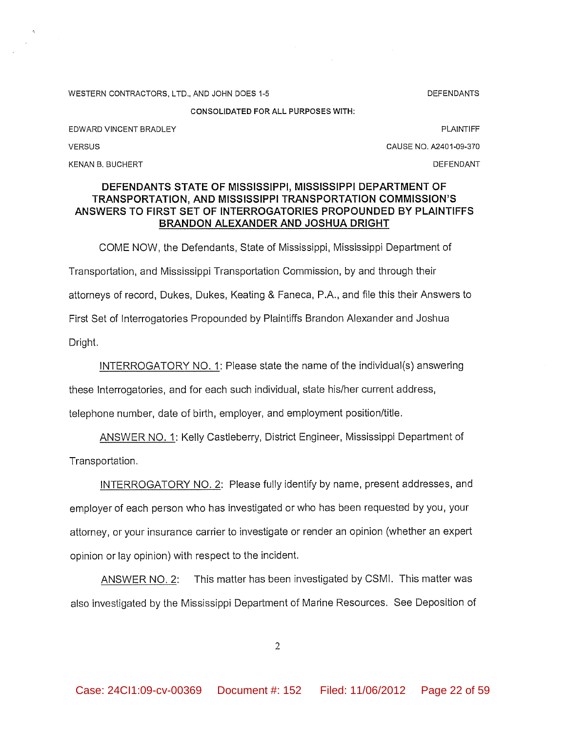WESTERN CONTRACTORS, LTD., AND JOHN DOES 1-5

**DEFENDANTS** 

**CONSOLIDATED FOR ALL PURPOSES WITH:** 

EDWARD VINCENT BRADLEY

**PLAINTIFF** 

CAUSE NO. A2401-09-370

KENAN B. BUCHERT

**VERSUS** 

#### DEFENDANT

### DEFENDANTS STATE OF MISSISSIPPI, MISSISSIPPI DEPARTMENT OF **TRANSPORTATION, AND MISSISSIPPI TRANSPORTATION COMMISSION'S** ANSWERS TO FIRST SET OF INTERROGATORIES PROPOUNDED BY PLAINTIFFS BRANDON ALEXANDER AND JOSHUA DRIGHT

COME NOW, the Defendants, State of Mississippi, Mississippi Department of Transportation, and Mississippi Transportation Commission, by and through their attorneys of record, Dukes, Dukes, Keating & Faneca, P.A., and file this their Answers to First Set of Interrogatories Propounded by Plaintiffs Brandon Alexander and Joshua Dright.

INTERROGATORY NO. 1: Please state the name of the individual(s) answering

these Interrogatories, and for each such individual, state his/her current address,

telephone number, date of birth, employer, and employment position/title.

ANSWER NO. 1: Kelly Castleberry, District Engineer, Mississippi Department of Transportation.

INTERROGATORY NO. 2: Please fully identify by name, present addresses, and employer of each person who has investigated or who has been requested by you, your attorney, or your insurance carrier to investigate or render an opinion (whether an expert opinion or lay opinion) with respect to the incident.

This matter has been investigated by CSMI. This matter was ANSWER NO. 2: also investigated by the Mississippi Department of Marine Resources. See Deposition of

 $\overline{2}$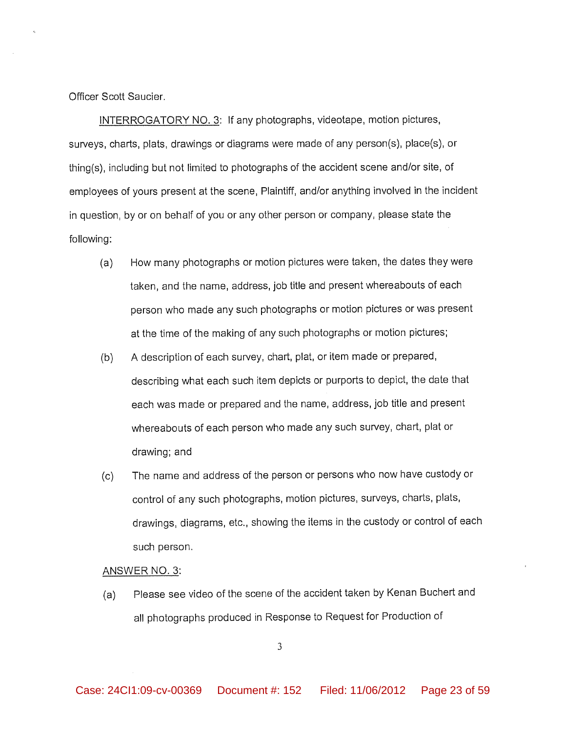Officer Scott Saucier.

INTERROGATORY NO. 3: If any photographs, videotape, motion pictures, surveys, charts, plats, drawings or diagrams were made of any person(s), place(s), or thing(s), including but not limited to photographs of the accident scene and/or site, of employees of yours present at the scene, Plaintiff, and/or anything involved in the incident in question, by or on behalf of you or any other person or company, please state the following:

- How many photographs or motion pictures were taken, the dates they were  $(a)$ taken, and the name, address, job title and present whereabouts of each person who made any such photographs or motion pictures or was present at the time of the making of any such photographs or motion pictures;
- $(b)$ A description of each survey, chart, plat, or item made or prepared, describing what each such item depicts or purports to depict, the date that each was made or prepared and the name, address, job title and present whereabouts of each person who made any such survey, chart, plat or drawing; and
- The name and address of the person or persons who now have custody or  $(c)$ control of any such photographs, motion pictures, surveys, charts, plats, drawings, diagrams, etc., showing the items in the custody or control of each such person.

#### ANSWER NO. 3:

Please see video of the scene of the accident taken by Kenan Buchert and  $(a)$ all photographs produced in Response to Request for Production of

 $\overline{3}$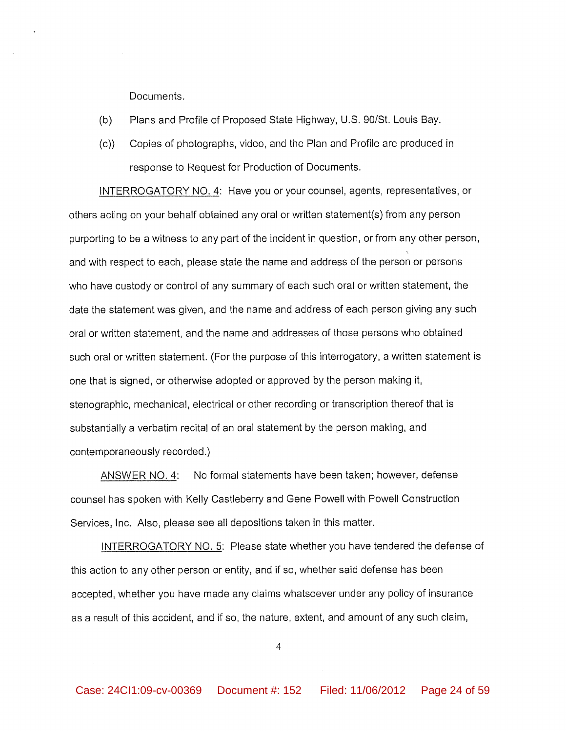Documents.

- $(b)$ Plans and Profile of Proposed State Highway, U.S. 90/St. Louis Bay.
- Copies of photographs, video, and the Plan and Profile are produced in  $(c)$ response to Request for Production of Documents.

INTERROGATORY NO. 4: Have you or your counsel, agents, representatives, or others acting on your behalf obtained any oral or written statement(s) from any person purporting to be a witness to any part of the incident in question, or from any other person, and with respect to each, please state the name and address of the person or persons who have custody or control of any summary of each such oral or written statement, the date the statement was given, and the name and address of each person giving any such oral or written statement, and the name and addresses of those persons who obtained such oral or written statement. (For the purpose of this interrogatory, a written statement is one that is signed, or otherwise adopted or approved by the person making it, stenographic, mechanical, electrical or other recording or transcription thereof that is substantially a verbatim recital of an oral statement by the person making, and contemporaneously recorded.)

ANSWER NO. 4: No formal statements have been taken; however, defense counsel has spoken with Kelly Castleberry and Gene Powell with Powell Construction Services, Inc. Also, please see all depositions taken in this matter.

INTERROGATORY NO. 5: Please state whether you have tendered the defense of this action to any other person or entity, and if so, whether said defense has been accepted, whether you have made any claims whatsoever under any policy of insurance as a result of this accident, and if so, the nature, extent, and amount of any such claim,

 $\overline{4}$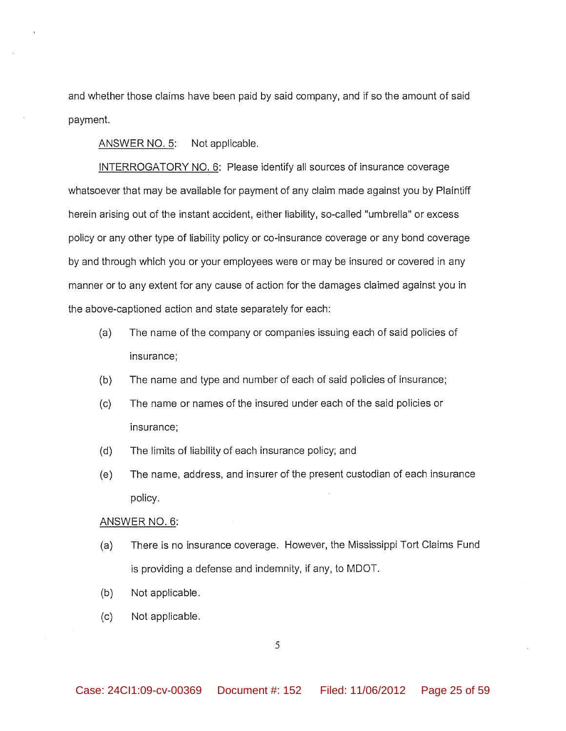and whether those claims have been paid by said company, and if so the amount of said payment.

ANSWER NO. 5: Not applicable.

INTERROGATORY NO. 6: Please identify all sources of insurance coverage whatsoever that may be available for payment of any claim made against you by Plaintiff herein arising out of the instant accident, either liability, so-called "umbrella" or excess policy or any other type of liability policy or co-insurance coverage or any bond coverage by and through which you or your employees were or may be insured or covered in any manner or to any extent for any cause of action for the damages claimed against you in the above-captioned action and state separately for each:

- $(a)$ The name of the company or companies issuing each of said policies of insurance;
- $(b)$ The name and type and number of each of said policies of insurance;
- $(c)$ The name or names of the insured under each of the said policies or insurance;
- $(d)$ The limits of liability of each insurance policy; and
- $(e)$ The name, address, and insurer of the present custodian of each insurance policy.

#### ANSWER NO. 6:

- There is no insurance coverage. However, the Mississippi Tort Claims Fund  $(a)$ is providing a defense and indemnity, if any, to MDOT.
- $(b)$ Not applicable.
- Not applicable.  $(c)$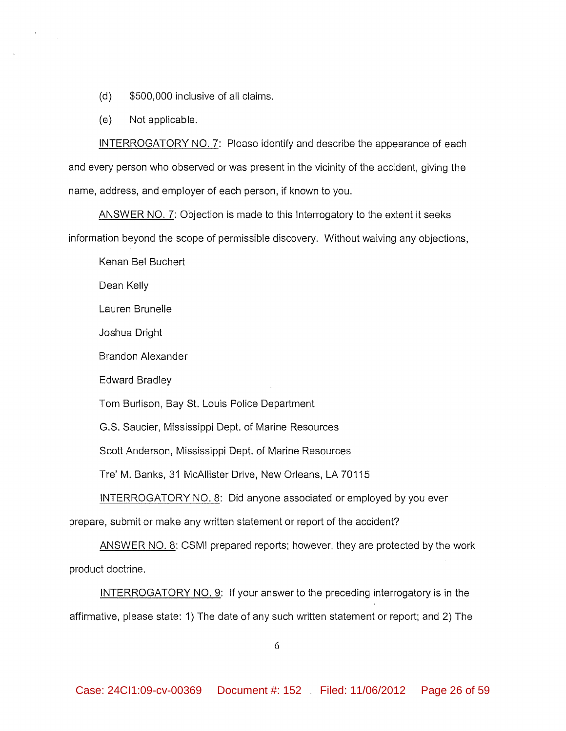- $(d)$ \$500,000 inclusive of all claims.
- $(e)$ Not applicable.

INTERROGATORY NO. 7: Please identify and describe the appearance of each and every person who observed or was present in the vicinity of the accident, giving the name, address, and employer of each person, if known to you.

ANSWER NO. 7: Objection is made to this Interrogatory to the extent it seeks information beyond the scope of permissible discovery. Without waiving any objections,

Kenan Bel Buchert

Dean Kelly

Lauren Brunelle

Joshua Dright

Brandon Alexander

Edward Bradley

Tom Burlison, Bay St. Louis Police Department

G.S. Saucier, Mississippi Dept. of Marine Resources

Scott Anderson, Mississippi Dept. of Marine Resources

Tre' M. Banks, 31 McAllister Drive, New Orleans, LA 70115

INTERROGATORY NO. 8: Did anyone associated or employed by you ever

prepare, submit or make any written statement or report of the accident?

ANSWER NO. 8: CSMI prepared reports; however, they are protected by the work product doctrine.

INTERROGATORY NO. 9: If your answer to the preceding interrogatory is in the affirmative, please state: 1) The date of any such written statement or report; and 2) The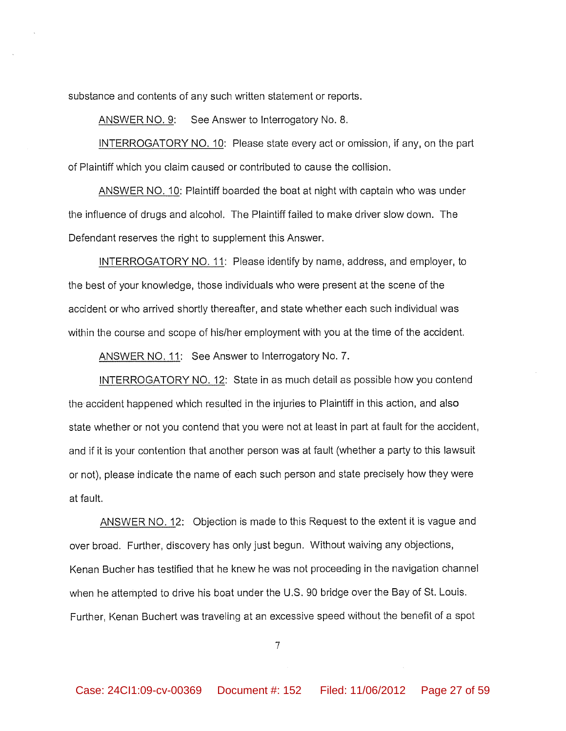substance and contents of any such written statement or reports.

ANSWER NO. 9: See Answer to Interrogatory No. 8.

INTERROGATORY NO. 10: Please state every act or omission, if any, on the part of Plaintiff which you claim caused or contributed to cause the collision.

ANSWER NO. 10: Plaintiff boarded the boat at night with captain who was under the influence of drugs and alcohol. The Plaintiff failed to make driver slow down. The Defendant reserves the right to supplement this Answer.

INTERROGATORY NO. 11: Please identify by name, address, and employer, to the best of your knowledge, those individuals who were present at the scene of the accident or who arrived shortly thereafter, and state whether each such individual was within the course and scope of his/her employment with you at the time of the accident.

ANSWER NO. 11: See Answer to Interrogatory No. 7.

INTERROGATORY NO. 12: State in as much detail as possible how you contend the accident happened which resulted in the injuries to Plaintiff in this action, and also state whether or not you contend that you were not at least in part at fault for the accident, and if it is your contention that another person was at fault (whether a party to this lawsuit or not), please indicate the name of each such person and state precisely how they were at fault.

ANSWER NO. 12: Objection is made to this Request to the extent it is vague and over broad. Further, discovery has only just begun. Without waiving any objections, Kenan Bucher has testified that he knew he was not proceeding in the navigation channel when he attempted to drive his boat under the U.S. 90 bridge over the Bay of St. Louis. Further, Kenan Buchert was traveling at an excessive speed without the benefit of a spot

 $\overline{7}$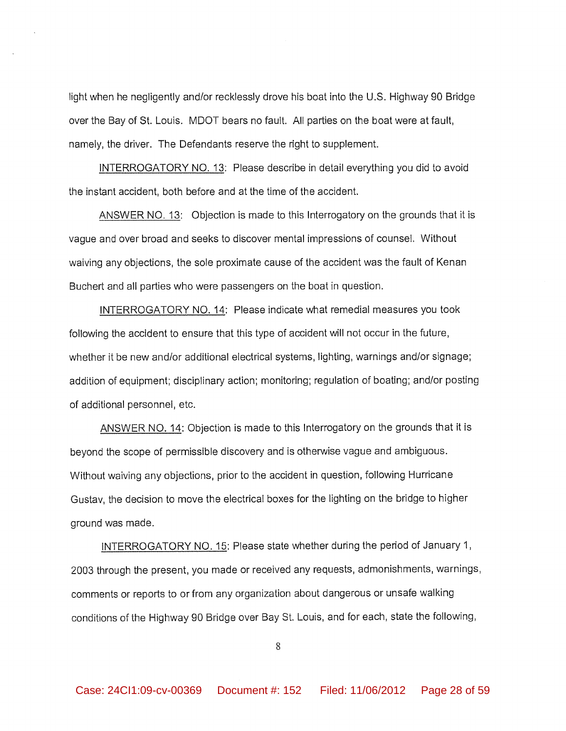light when he negligently and/or recklessly drove his boat into the U.S. Highway 90 Bridge over the Bay of St. Louis. MDOT bears no fault. All parties on the boat were at fault, namely, the driver. The Defendants reserve the right to supplement.

INTERROGATORY NO. 13: Please describe in detail everything you did to avoid the instant accident, both before and at the time of the accident.

ANSWER NO. 13: Objection is made to this Interrogatory on the grounds that it is vague and over broad and seeks to discover mental impressions of counsel. Without waiving any objections, the sole proximate cause of the accident was the fault of Kenan Buchert and all parties who were passengers on the boat in question.

INTERROGATORY NO. 14: Please indicate what remedial measures you took following the accident to ensure that this type of accident will not occur in the future, whether it be new and/or additional electrical systems, lighting, warnings and/or signage; addition of equipment; disciplinary action; monitoring; regulation of boating; and/or posting of additional personnel, etc.

ANSWER NO. 14: Objection is made to this Interrogatory on the grounds that it is beyond the scope of permissible discovery and is otherwise vague and ambiguous. Without waiving any objections, prior to the accident in question, following Hurricane Gustav, the decision to move the electrical boxes for the lighting on the bridge to higher ground was made.

INTERROGATORY NO. 15: Please state whether during the period of January 1, 2003 through the present, you made or received any requests, admonishments, warnings, comments or reports to or from any organization about dangerous or unsafe walking conditions of the Highway 90 Bridge over Bay St. Louis, and for each, state the following,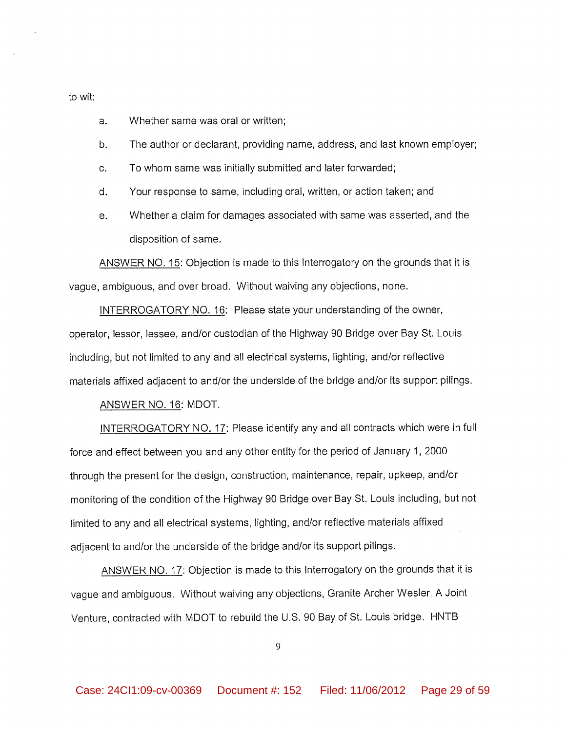#### to wit:

- a. Whether same was oral or written;
- The author or declarant, providing name, address, and last known employer;  $h$
- To whom same was initially submitted and later forwarded;  $C<sub>1</sub>$
- $\mathsf{d}$ . Your response to same, including oral, written, or action taken; and
- Whether a claim for damages associated with same was asserted, and the  $e_{1}$ disposition of same.

ANSWER NO. 15: Objection is made to this Interrogatory on the grounds that it is vague, ambiguous, and over broad. Without waiving any objections, none.

INTERROGATORY NO. 16: Please state your understanding of the owner, operator, lessor, lessee, and/or custodian of the Highway 90 Bridge over Bay St. Louis including, but not limited to any and all electrical systems, lighting, and/or reflective materials affixed adjacent to and/or the underside of the bridge and/or its support pilings.

ANSWER NO. 16: MDOT.

INTERROGATORY NO. 17: Please identify any and all contracts which were in full force and effect between you and any other entity for the period of January 1, 2000 through the present for the design, construction, maintenance, repair, upkeep, and/or monitoring of the condition of the Highway 90 Bridge over Bay St. Louis including, but not limited to any and all electrical systems, lighting, and/or reflective materials affixed adjacent to and/or the underside of the bridge and/or its support pilings.

ANSWER NO. 17: Objection is made to this Interrogatory on the grounds that it is vague and ambiguous. Without waiving any objections, Granite Archer Wesler, A Joint Venture, contracted with MDOT to rebuild the U.S. 90 Bay of St. Louis bridge. HNTB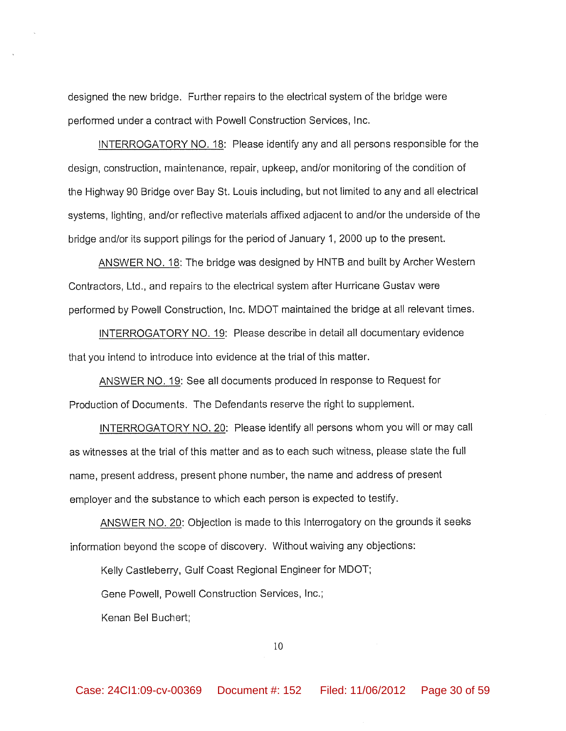designed the new bridge. Further repairs to the electrical system of the bridge were performed under a contract with Powell Construction Services, Inc.

INTERROGATORY NO. 18: Please identify any and all persons responsible for the design, construction, maintenance, repair, upkeep, and/or monitoring of the condition of the Highway 90 Bridge over Bay St. Louis including, but not limited to any and all electrical systems, lighting, and/or reflective materials affixed adjacent to and/or the underside of the bridge and/or its support pilings for the period of January 1, 2000 up to the present.

ANSWER NO. 18: The bridge was designed by HNTB and built by Archer Western Contractors, Ltd., and repairs to the electrical system after Hurricane Gustav were performed by Powell Construction, Inc. MDOT maintained the bridge at all relevant times.

INTERROGATORY NO. 19: Please describe in detail all documentary evidence that you intend to introduce into evidence at the trial of this matter.

ANSWER NO. 19: See all documents produced in response to Request for Production of Documents. The Defendants reserve the right to supplement.

INTERROGATORY NO. 20: Please identify all persons whom you will or may call as witnesses at the trial of this matter and as to each such witness, please state the full name, present address, present phone number, the name and address of present employer and the substance to which each person is expected to testify.

ANSWER NO. 20: Objection is made to this Interrogatory on the grounds it seeks information beyond the scope of discovery. Without waiving any objections:

Kelly Castleberry, Gulf Coast Regional Engineer for MDOT;

Gene Powell, Powell Construction Services, Inc.;

Kenan Bel Buchert;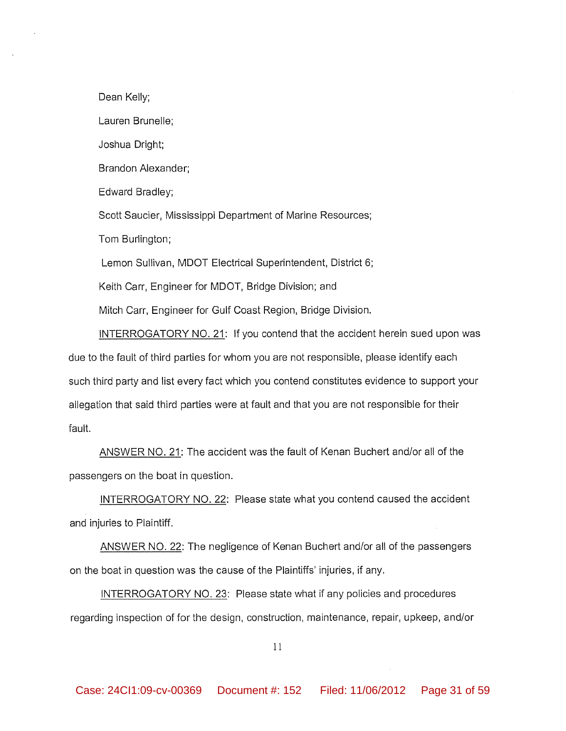Dean Kelly;

Lauren Brunelle:

Joshua Dright;

Brandon Alexander;

Edward Bradley;

Scott Saucier, Mississippi Department of Marine Resources;

Tom Burlington;

Lemon Sullivan, MDOT Electrical Superintendent, District 6;

Keith Carr, Engineer for MDOT, Bridge Division; and

Mitch Carr, Engineer for Gulf Coast Region, Bridge Division.

INTERROGATORY NO. 21: If you contend that the accident herein sued upon was due to the fault of third parties for whom you are not responsible, please identify each such third party and list every fact which you contend constitutes evidence to support your allegation that said third parties were at fault and that you are not responsible for their fault.

ANSWER NO. 21: The accident was the fault of Kenan Buchert and/or all of the passengers on the boat in question.

INTERROGATORY NO. 22: Please state what you contend caused the accident and injuries to Plaintiff.

ANSWER NO. 22: The negligence of Kenan Buchert and/or all of the passengers on the boat in question was the cause of the Plaintiffs' injuries, if any.

INTERROGATORY NO. 23: Please state what if any policies and procedures regarding inspection of for the design, construction, maintenance, repair, upkeep, and/or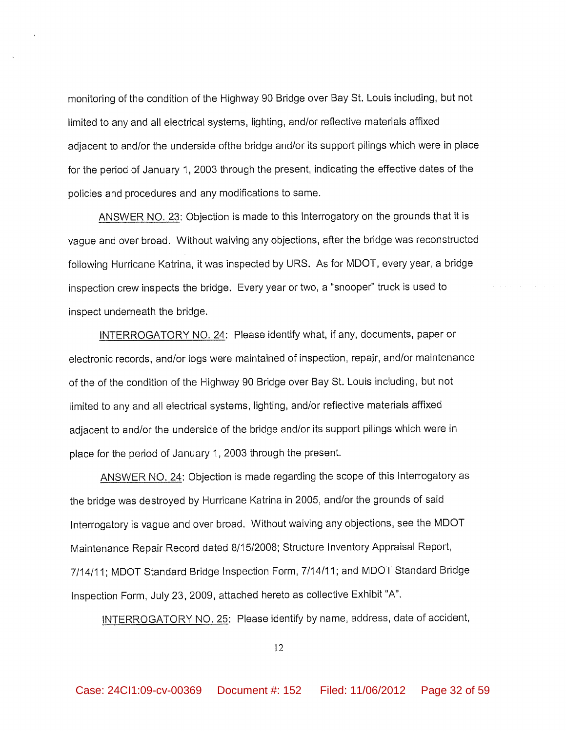monitoring of the condition of the Highway 90 Bridge over Bay St. Louis including, but not limited to any and all electrical systems, lighting, and/or reflective materials affixed adjacent to and/or the underside ofthe bridge and/or its support pilings which were in place for the period of January 1, 2003 through the present, indicating the effective dates of the policies and procedures and any modifications to same.

ANSWER NO. 23: Objection is made to this Interrogatory on the grounds that it is vaque and over broad. Without waiving any objections, after the bridge was reconstructed following Hurricane Katrina, it was inspected by URS. As for MDOT, every year, a bridge inspection crew inspects the bridge. Every year or two, a "snooper" truck is used to inspect underneath the bridge.

INTERROGATORY NO. 24: Please identify what, if any, documents, paper or electronic records, and/or logs were maintained of inspection, repair, and/or maintenance of the of the condition of the Highway 90 Bridge over Bay St. Louis including, but not limited to any and all electrical systems, lighting, and/or reflective materials affixed adjacent to and/or the underside of the bridge and/or its support pilings which were in place for the period of January 1, 2003 through the present.

ANSWER NO. 24: Objection is made regarding the scope of this Interrogatory as the bridge was destroyed by Hurricane Katrina in 2005, and/or the grounds of said Interrogatory is vague and over broad. Without waiving any objections, see the MDOT Maintenance Repair Record dated 8/15/2008; Structure Inventory Appraisal Report, 7/14/11; MDOT Standard Bridge Inspection Form, 7/14/11; and MDOT Standard Bridge Inspection Form, July 23, 2009, attached hereto as collective Exhibit "A".

INTERROGATORY NO. 25: Please identify by name, address, date of accident,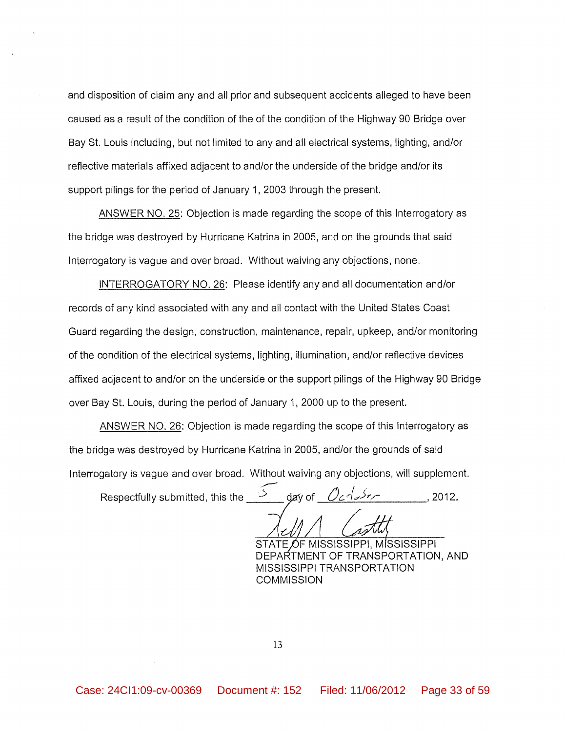and disposition of claim any and all prior and subsequent accidents alleged to have been caused as a result of the condition of the of the condition of the Highway 90 Bridge over Bay St. Louis including, but not limited to any and all electrical systems, lighting, and/or reflective materials affixed adjacent to and/or the underside of the bridge and/or its support pilings for the period of January 1, 2003 through the present.

ANSWER NO. 25: Objection is made regarding the scope of this Interrogatory as the bridge was destroyed by Hurricane Katrina in 2005, and on the grounds that said Interrogatory is vague and over broad. Without waiving any objections, none.

INTERROGATORY NO. 26: Please identify any and all documentation and/or records of any kind associated with any and all contact with the United States Coast Guard regarding the design, construction, maintenance, repair, upkeep, and/or monitoring of the condition of the electrical systems, lighting, illumination, and/or reflective devices affixed adjacent to and/or on the underside or the support pilings of the Highway 90 Bridge over Bay St. Louis, during the period of January 1, 2000 up to the present.

ANSWER NO. 26: Objection is made regarding the scope of this Interrogatory as the bridge was destroyed by Hurricane Katrina in 2005, and/or the grounds of said Interrogatory is vague and over broad. Without waiving any objections, will supplement.

 $\Rightarrow$ Respectfully submitted, this the da∨ of  $, 2012.$ 

STATE OF MISSISSIPPI, MISSISSIPPI DEPARTMENT OF TRANSPORTATION, AND MISSISSIPPI TRANSPORTATION **COMMISSION**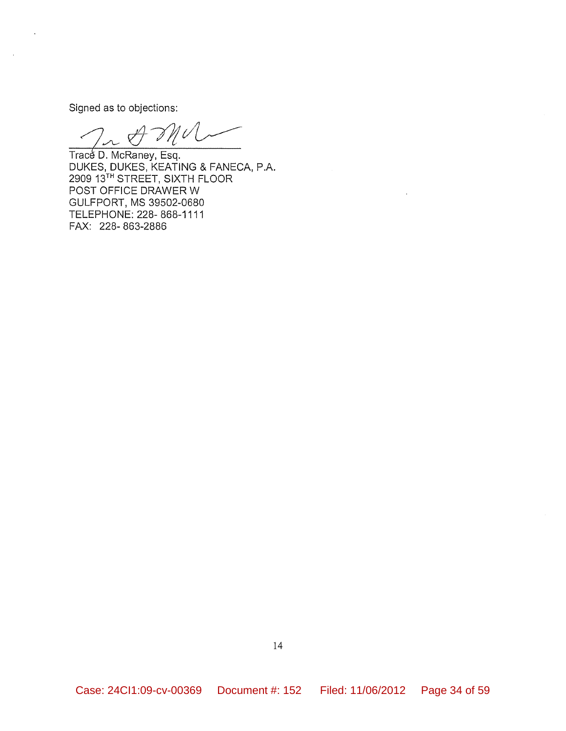Signed as to objections:

'U  $\sigma^2$ 

Trace D. McRaney, Esq. DUKES, DUKES, KEATING & FANECA, P.A. 2909 13TH STREET, SIXTH FLOOR POST OFFICE DRAWER W GULFPORT, MS 39502-0680 TELEPHONE: 228-868-1111 FAX: 228-863-2886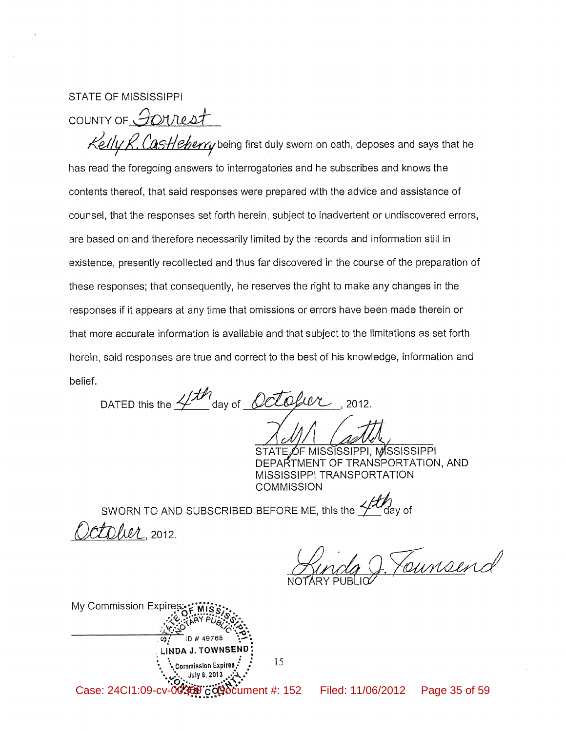**STATE OF MISSISSIPPI** 

COUNTY OF FOUREST

Kelly R. Castleberry being first duly sworn on oath, deposes and says that he has read the foregoing answers to interrogatories and he subscribes and knows the contents thereof, that said responses were prepared with the advice and assistance of counsel, that the responses set forth herein, subject to inadvertent or undiscovered errors, are based on and therefore necessarily limited by the records and information still in existence, presently recollected and thus far discovered in the course of the preparation of these responses; that consequently, he reserves the right to make any changes in the responses if it appears at any time that omissions or errors have been made therein or that more accurate information is available and that subject to the limitations as set forth herein, said responses are true and correct to the best of his knowledge, information and belief.

DATED this the  $4/10$  day of  $Octofwr$ , 2012.

OF MISSISSIPPI, MISSISSIPPI DEPARTMENT OF TRANSPORTATION, AND MISSISSIPPI TRANSPORTATION **COMMISSION** 

SWORN TO AND SUBSCRIBED BEFORE ME, this the  $\frac{\sqrt{f(t)}}{f}$  day of toher, 2012.

J. Tounsend

| My Commission Expires: : "MIS"                                                                                                                                                                                                                                                                                                                                       |
|----------------------------------------------------------------------------------------------------------------------------------------------------------------------------------------------------------------------------------------------------------------------------------------------------------------------------------------------------------------------|
| ARY P                                                                                                                                                                                                                                                                                                                                                                |
| ID # 49765                                                                                                                                                                                                                                                                                                                                                           |
| LINDA J. TOWNSEND                                                                                                                                                                                                                                                                                                                                                    |
| 15<br>* Commission Expires                                                                                                                                                                                                                                                                                                                                           |
| July 8, 2013                                                                                                                                                                                                                                                                                                                                                         |
| Case: 24Cl1:09-cv-0036<br>$\ddot{\rm c}$ $\ddot{\rm Q}$ $\ddot{\rm Q}$ $\ddot{\rm Q}$ $\ddot{\rm C}$ $\rm U$ $\rm H$ $\ddot{\rm C}$ $\ddot{\rm C}$ $\ddot{\rm C}$ $\ddot{\rm C}$ $\rm U$ $\rm H$ $\ddot{\rm C}$ $\ddot{\rm C}$ $\ddot{\rm C}$ $\ddot{\rm C}$ $\ddot{\rm H}$ $\ddot{\rm C}$ $\ddot{\rm H}$ $\ddot{\rm C}$ $\ddot{\rm C}$ $\ddot{\rm C}$ $\ddot{\rm C$ |

Filed: 11/06/2012 Page 35 of 59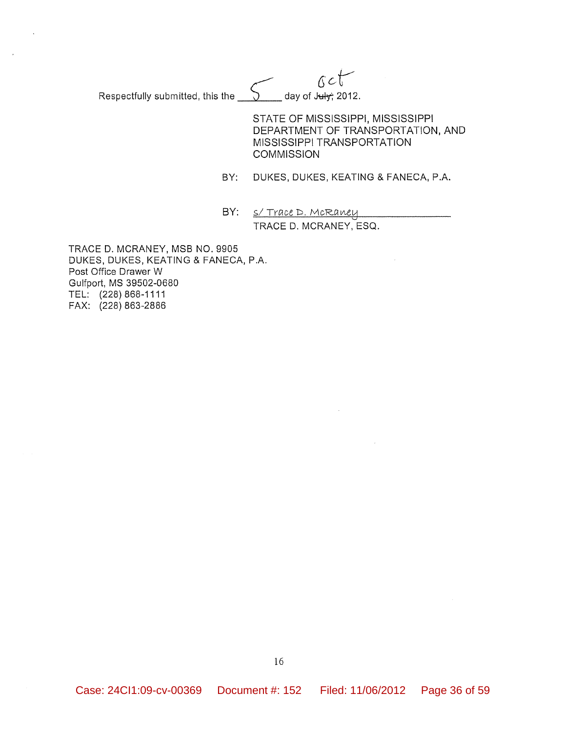$0< t$ day of July; 2012. Respectfully submitted, this the

> STATE OF MISSISSIPPI, MISSISSIPPI DEPARTMENT OF TRANSPORTATION, AND MISSISSIPPI TRANSPORTATION **COMMISSION**

BY: DUKES, DUKES, KEATING & FANECA, P.A.

BY: <u>S/ Trace D. McRaney</u> TRACE D. MCRANEY, ESQ.

TRACE D. MCRANEY, MSB NO. 9905 DUKES, DUKES, KEATING & FANECA, P.A. Post Office Drawer W Gulfport, MS 39502-0680 TEL: (228) 868-1111 FAX: (228) 863-2886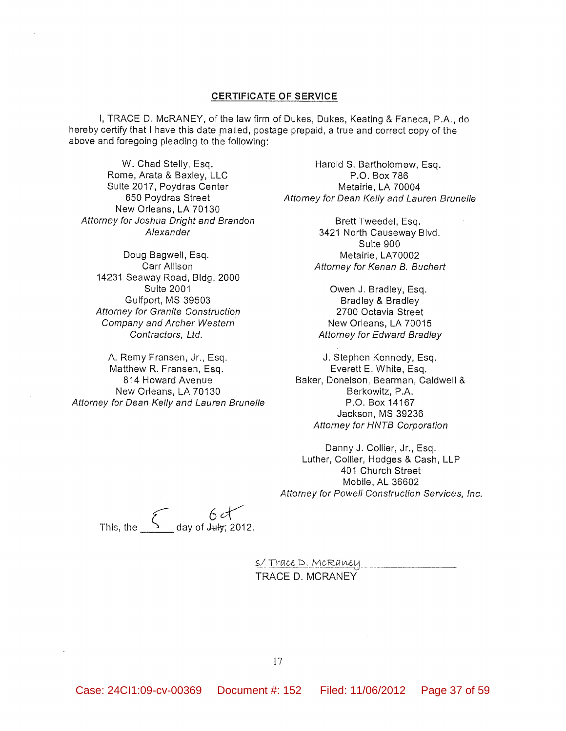#### **CERTIFICATE OF SERVICE**

I, TRACE D. McRANEY, of the law firm of Dukes, Dukes, Keating & Faneca, P.A., do hereby certify that I have this date mailed, postage prepaid, a true and correct copy of the above and foregoing pleading to the following:

W. Chad Stelly, Esq. Rome, Arata & Baxley, LLC Suite 2017, Poydras Center 650 Poydras Street New Orleans, LA 70130 Attorney for Joshua Dright and Brandon Alexander

Doug Bagwell, Esq. Carr Allison 14231 Seaway Road, Bldg. 2000 **Suite 2001** Gulfport, MS 39503 **Attorney for Granite Construction** Company and Archer Western Contractors, Ltd.

A. Remy Fransen, Jr., Esq. Matthew R. Fransen, Esq. 814 Howard Avenue New Orleans, LA 70130 Attorney for Dean Kelly and Lauren Brunelle

Harold S. Bartholomew, Esq. P.O. Box 786 Metairie, LA 70004 Attorney for Dean Kelly and Lauren Brunelle

> Brett Tweedel, Esq. 3421 North Causeway Blvd. Suite 900 Metairie, LA70002 Attorney for Kenan B. Buchert

Owen J. Bradley, Esq. Bradley & Bradley 2700 Octavia Street New Orleans, LA 70015 **Attorney for Edward Bradley** 

J. Stephen Kennedy, Esq. Everett E. White, Esq. Baker, Donelson, Bearman, Caldwell & Berkowitz, P.A. P.O. Box 14167 Jackson, MS 39236 Attorney for HNTB Corporation

Danny J. Collier, Jr., Esq. Luther, Collier, Hodges & Cash, LLP 401 Church Street Mobile, AL 36602 Attorney for Powell Construction Services, Inc.

This, the  $\begin{array}{cc} 6 \text{ eV} & \end{array}$ 

<u>S/Trace D. McRaney</u> TRACE D. MCRANEY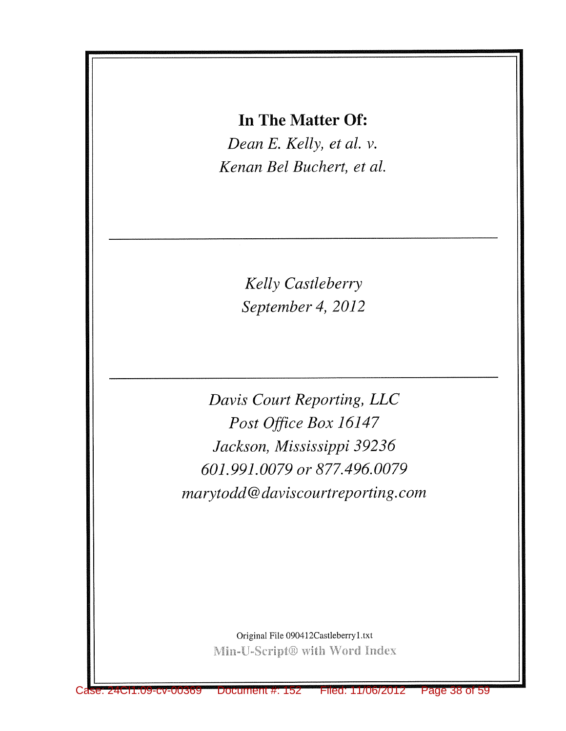# In The Matter Of:

Dean E. Kelly, et al. v. Kenan Bel Buchert, et al.

> Kelly Castleberry September 4, 2012

Davis Court Reporting, LLC Post Office Box 16147 Jackson, Mississippi 39236 601.991.0079 or 877.496.0079 marytodd@daviscourtreporting.com

> Original File 090412Castleberry1.txt Min-U-Script® with Word Index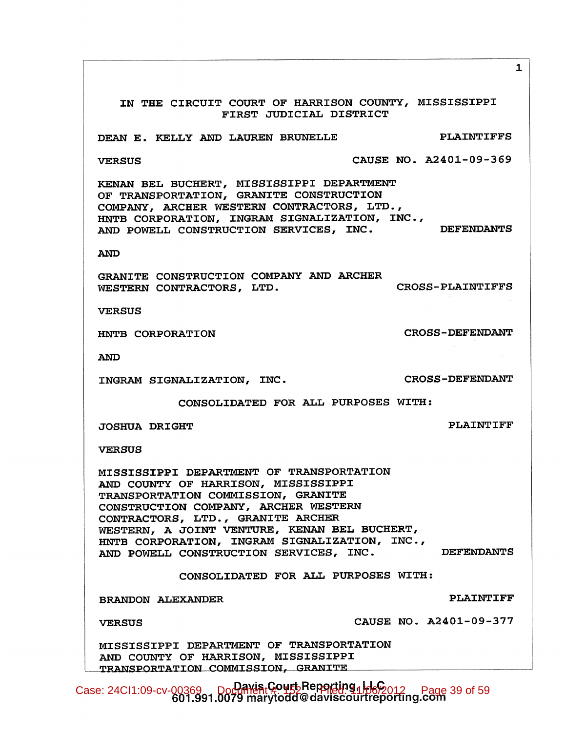IN THE CIRCUIT COURT OF HARRISON COUNTY, MISSISSIPPI FIRST JUDICIAL DISTRICT **PLAINTIFFS** DEAN E. KELLY AND LAUREN BRUNELLE CAUSE NO. A2401-09-369 **VERSUS** KENAN BEL BUCHERT, MISSISSIPPI DEPARTMENT OF TRANSPORTATION, GRANITE CONSTRUCTION COMPANY, ARCHER WESTERN CONTRACTORS, LTD.,<br>HNTB CORPORATION, INGRAM SIGNALIZATION, INC.,<br>AND POWELL CONSTRUCTION SERVICES, INC. DEFENDANTS COMPANY, ARCHER WESTERN CONTRACTORS, LTD., **AND** GRANITE CONSTRUCTION COMPANY AND ARCHER **CROSS-PLAINTIFFS** WESTERN CONTRACTORS, LTD. **VERSUS CROSS-DEFENDANT** HNTB CORPORATION **AND CROSS-DEFENDANT** INGRAM SIGNALIZATION, INC. CONSOLIDATED FOR ALL PURPOSES WITH: **PLAINTIFF JOSHUA DRIGHT VERSUS** MISSISSIPPI DEPARTMENT OF TRANSPORTATION AND COUNTY OF HARRISON, MISSISSIPPI TRANSPORTATION COMMISSION, GRANITE CONSTRUCTION COMPANY, ARCHER WESTERN CONTRACTORS, LTD., GRANITE ARCHER WESTERN, A JOINT VENTURE, KENAN BEL BUCHERT, HNTB CORPORATION, INGRAM SIGNALIZATION, INC., AND POWELL CONSTRUCTION SERVICES, INC. **DEFENDANTS** CONSOLIDATED FOR ALL PURPOSES WITH: **PLAINTIFF BRANDON ALEXANDER** CAUSE NO. A2401-09-377 **VERSUS** MISSISSIPPI DEPARTMENT OF TRANSPORTATION AND COUNTY OF HARRISON, MISSISSIPPI TRANSPORTATION COMMISSION, GRANITE Case: 24CI1:09-cv-00369 Doctributed: 152 Development #160-012 Page 39 of 59

 $\mathbf{1}$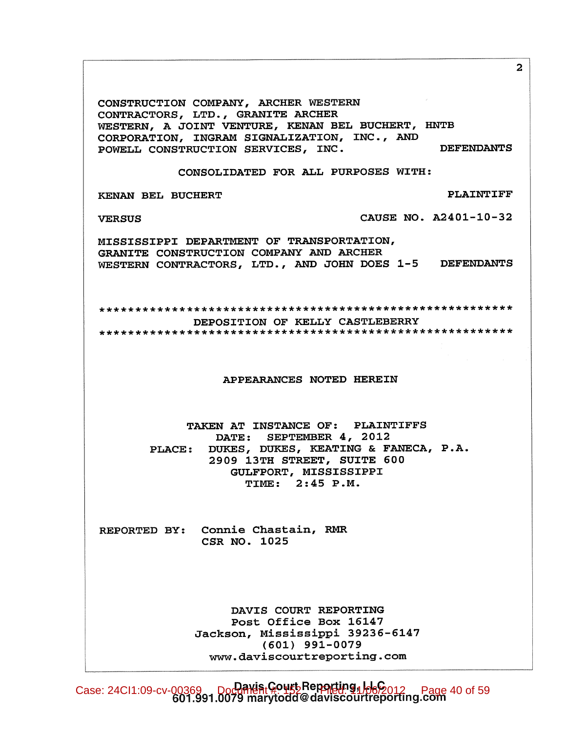CONSTRUCTION COMPANY, ARCHER WESTERN CONTRACTORS, LTD., GRANITE ARCHER WESTERN, A JOINT VENTURE, KENAN BEL BUCHERT, HNTB CORPORATION, INGRAM SIGNALIZATION, INC., AND **DEFENDANTS** POWELL CONSTRUCTION SERVICES, INC. CONSOLIDATED FOR ALL PURPOSES WITH: **PLAINTIFF** KENAN BEL BUCHERT **VERSUS** CAUSE NO. A2401-10-32 MISSISSIPPI DEPARTMENT OF TRANSPORTATION, GRANITE CONSTRUCTION COMPANY AND ARCHER WESTERN CONTRACTORS, LTD., AND JOHN DOES 1-5 DEFENDANTS DEPOSITION OF KELLY CASTLEBERRY APPEARANCES NOTED HEREIN TAKEN AT INSTANCE OF: PLAINTIFFS DATE: SEPTEMBER 4, 2012 DUKES, DUKES, KEATING & FANECA, P.A. **PLACE:** 2909 13TH STREET, SUITE 600 GULFPORT, MISSISSIPPI TIME: 2:45 P.M. REPORTED BY: Connie Chastain, RMR CSR NO. 1025 DAVIS COURT REPORTING Post Office Box 16147 Jackson, Mississippi 39236-6147  $(601)$  991-0079 www.daviscourtreporting.com

Case: 24CI1:09-cv-00369 Document Court Reporting 1 Hego 12 Page 40 of 59

 $2<sup>1</sup>$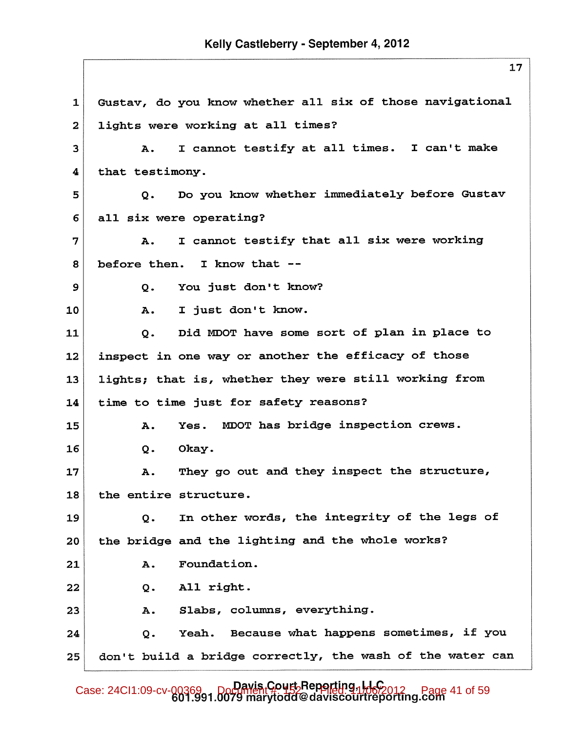Gustav, do you know whether all six of those navigational  $\mathbf{1}$ lights were working at all times?  $\overline{2}$ I cannot testify at all times. I can't make 3 Α. 4 that testimony. Do you know whether immediately before Gustav 5  $\mathbf{o}$ . 6 all six were operating? I cannot testify that all six were working 7 Α. before then. I know that --8 9 You just don't know?  $\mathsf{o}$ . I just don't know. 10 A. Did MDOT have some sort of plan in place to 11  $Q<sub>z</sub>$ inspect in one way or another the efficacy of those 12 lights; that is, whether they were still working from 13 time to time just for safety reasons? 14 Yes. MDOT has bridge inspection crews. 15 Α. 16  $O<sub>1</sub>$ Okay. They go out and they inspect the structure, 17 Α. 18 the entire structure. In other words, the integrity of the legs of 19 Q. the bridge and the lighting and the whole works? 20 Foundation. 21 Α. All right. 22 Q. Slabs, columns, everything. 23 Α. Because what happens sometimes, if you 24  $Q<sub>o</sub>$ Yeah. don't build a bridge correctly, the wash of the water can 25

Case: 24CI1:09-cv-00369 Davis Court Reporting, LLC page 41 of 59<br>601.991.0079 marytodd@daviscourtreporting.com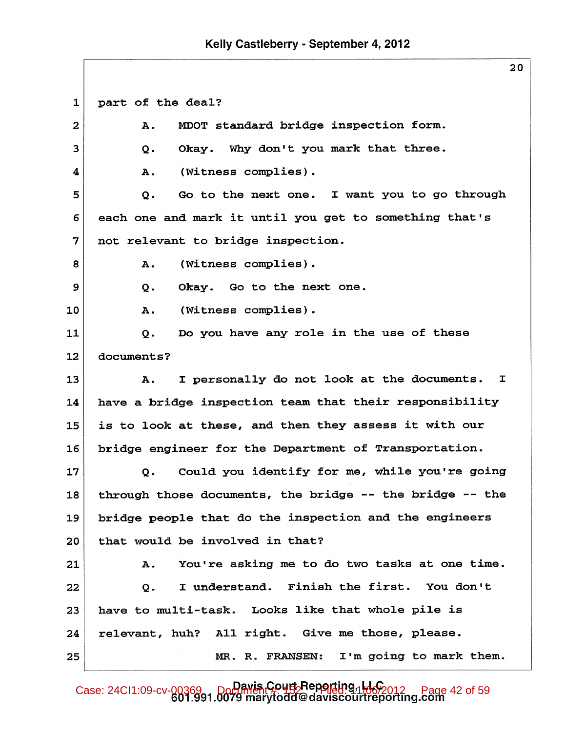# Kelly Castleberry - September 4, 2012

 $\mathbf{1}$ part of the deal? MDOT standard bridge inspection form.  $\overline{a}$ **A.** 3  $\mathbf{o}$ . Okay. Why don't you mark that three. (Witness complies). 4 Α. I want you to go through 5 Go to the next one.  $\mathbf{o}$ . 6 each one and mark it until you get to something that's 7 not relevant to bridge inspection. (Witness complies). 8 Α. 9 Okay. Go to the next one.  $Q<sub>1</sub>$ (Witness complies). 10 A. Do you have any role in the use of these 11  $Q<sub>z</sub>$  $12$ documents? I personally do not look at the documents.  $\mathbf{I}$ 13 Α. have a bridge inspection team that their responsibility 14 15 is to look at these, and then they assess it with our bridge engineer for the Department of Transportation. 16 17 Could you identify for me, while you're going  $Q$ . 18 through those documents, the bridge -- the bridge -- the bridge people that do the inspection and the engineers 19 that would be involved in that? 20 You're asking me to do two tasks at one time. 21 A. I understand. Finish the first. You don't 22  $\mathbf{o}$ . have to multi-task. Looks like that whole pile is 23 24 relevant, huh? All right. Give me those, please. I'm going to mark them. 25 MR. R. FRANSEN:

Case: 24CI1:09-cv-00369 Document Court Reparting, 1166 2012 Page 42 of 59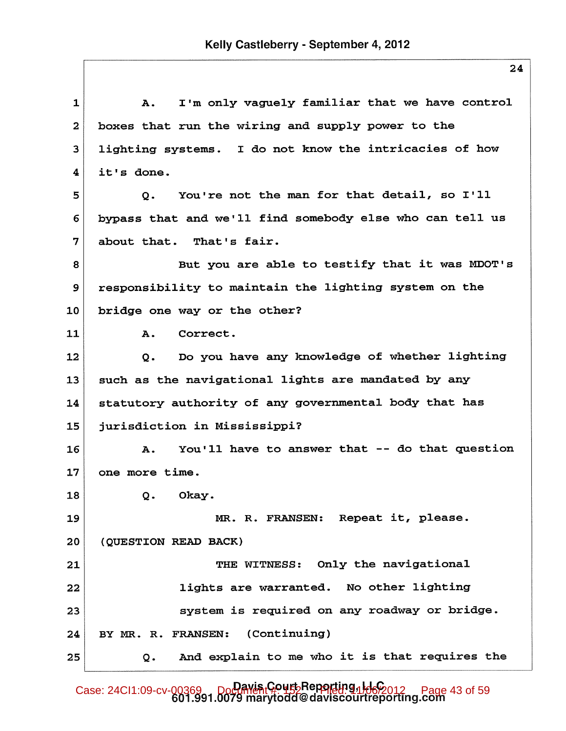I'm only vaguely familiar that we have control  $\mathbf{1}$  $\mathbf{A}$ . boxes that run the wiring and supply power to the  $\mathbf{2}$ lighting systems. I do not know the intricacies of how  $\overline{\mathbf{3}}$  $\overline{\mathbf{4}}$ it's done. You're not the man for that detail, so I'll 5  $\mathbf{o}$ . 6 bypass that and we'll find somebody else who can tell us about that. That's fair. 7 But you are able to testify that it was MDOT's 8 responsibility to maintain the lighting system on the 9 bridge one way or the other? 10 11 Α. Correct.  $12$ Do you have any knowledge of whether lighting  $Q<sub>z</sub>$ such as the navigational lights are mandated by any 13 statutory authority of any governmental body that has 14 15 jurisdiction in Mississippi? You'll have to answer that -- do that question 16  $\mathbf{A}$ .  $17<sup>2</sup>$ one more time. 18 Q. Okay. MR. R. FRANSEN: Repeat it, please. 19 20 (QUESTION READ BACK) 21 THE WITNESS: Only the navigational lights are warranted. No other lighting 22 system is required on any roadway or bridge. 23 24 BY MR. R. FRANSEN: (Continuing) And explain to me who it is that requires the 25 Q.

Case: 24CI1:09-cv-00369 Document Court Reporting 1 Hoppon Page 43 of 59<br>601.991.0079 marytodd@daviscourtreporting.com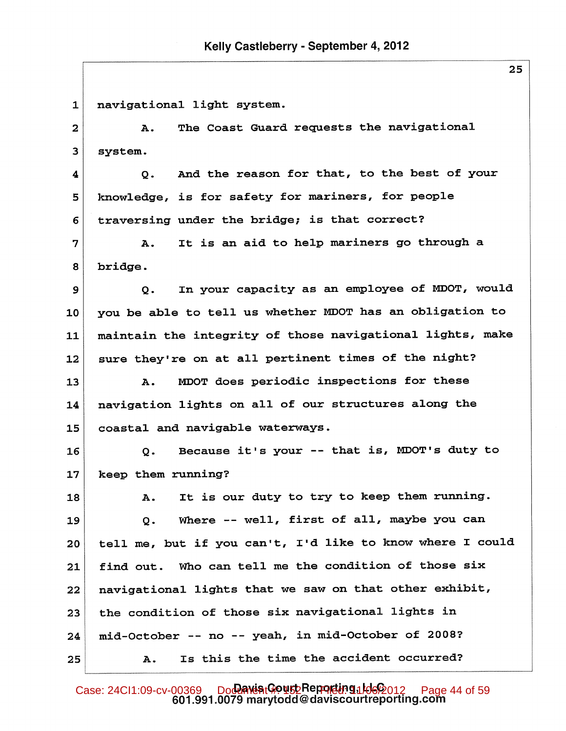navigational light system.  $\mathbf{1}$ The Coast Guard requests the navigational  $\overline{\mathbf{2}}$ Α.  $\overline{\mathbf{3}}$ system. And the reason for that, to the best of your 4  $\mathsf{o}$ . knowledge, is for safety for mariners, for people 5 traversing under the bridge; is that correct? 6 7 It is an aid to help mariners go through a A. 8 bridge. In your capacity as an employee of MDOT, would  $\mathbf{9}$  $\mathbf{o}$ . you be able to tell us whether MDOT has an obligation to 10 maintain the integrity of those navigational lights, make 11 sure they're on at all pertinent times of the night? 12 MDOT does periodic inspections for these 13 Α. 14 navigation lights on all of our structures along the coastal and navigable waterways. 15 Because it's your -- that is, MDOT's duty to 16 Q. 17 keep them running? It is our duty to try to keep them running. 18 Α. Where -- well, first of all, maybe you can 19  $Q<sub>1</sub>$ tell me, but if you can't, I'd like to know where I could 20 Who can tell me the condition of those six find out. 21 navigational lights that we saw on that other exhibit, 22 the condition of those six navigational lights in 23 mid-October -- no -- yeah, in mid-October of 2008? 24 Is this the time the accident occurred? 25 Α.

Case: 24CI1:09-cv-00369 Document Benefile Benefiled: 24CI1:09-cv-00369 Document #: 159 Case: 24CI1:09-cv-00369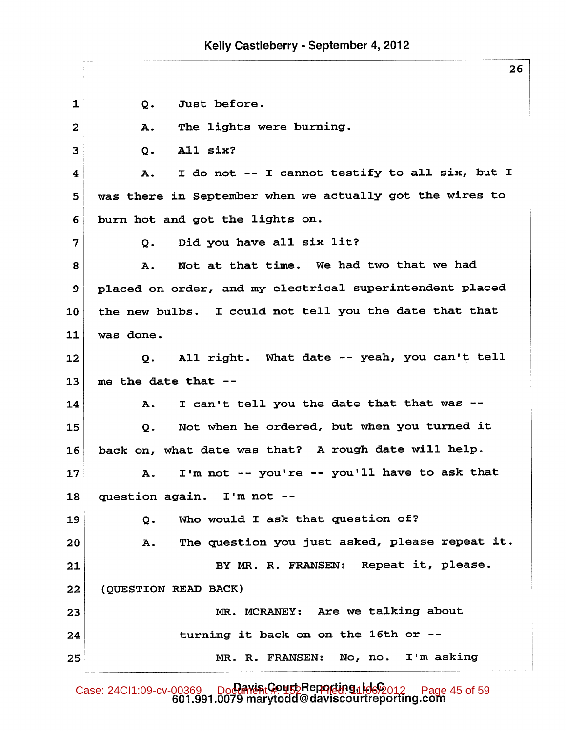Kelly Castleberry - September 4, 2012

 $\mathbf{1}$  $Q<sub>o</sub>$ Just before. The lights were burning.  $\overline{a}$ **A**. All six? 3  $Q -$ I do not -- I cannot testify to all six, but I  $\overline{\mathbf{4}}$ Α. was there in September when we actually got the wires to 5 burn hot and got the lights on. 6 Did you have all six lit?  $\overline{7}$  $Q<sub>o</sub>$ Not at that time. We had two that we had 8 Α.  $\mathbf{9}$ placed on order, and my electrical superintendent placed the new bulbs. I could not tell you the date that that 10  $11$ was done. All right. What date -- yeah, you can't tell 12  $\mathbf{o}$ . 13 me the date that --I can't tell you the date that that was --14 Α. Not when he ordered, but when you turned it 15  $Q<sub>z</sub>$ back on, what date was that? A rough date will help. 16 I'm not -- you're -- you'll have to ask that 17 Α.  $I'm not --$ 18 question again. 19 Who would I ask that question of?  $Q<sub>z</sub>$ The question you just asked, please repeat it. 20 Α. BY MR. R. FRANSEN: Repeat it, please. 21 22 (QUESTION READ BACK) Are we talking about MR. MCRANEY: 23 turning it back on on the 16th or --24 MR. R. FRANSEN:  $No, no.$ I'm asking 25

Case: 24CI1:09-cv-00369 Document Beparts Repartly 91662012 Page 45 of 59<br>601.991.0079 marytodd@daviscourtreporting.com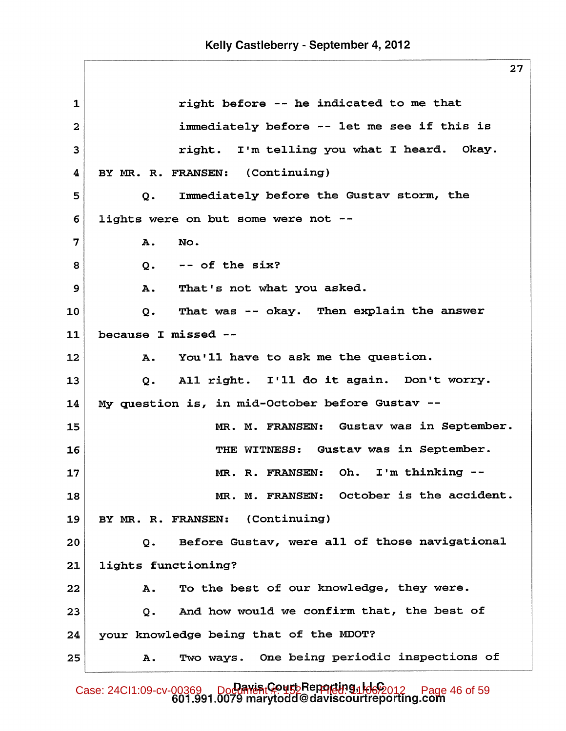right before -- he indicated to me that  $\mathbf{1}$ immediately before -- let me see if this is  $\overline{2}$ right. I'm telling you what I heard. Okay. 3 BY MR. R. FRANSEN: (Continuing) 4 5 Immediately before the Gustav storm, the  $Q$ lights were on but some were not --6 7 Α. No.  $--$  of the six? 8  $O<sub>1</sub>$ 9 A. That's not what you asked. That was -- okay. Then explain the answer 10  $Q_{\bullet}$  $11$ because I missed --You'll have to ask me the question.  $12 \,$ A. I'll do it again. Don't worry. All right. 13  $Q<sub>z</sub>$ My question is, in mid-October before Gustav --14 MR. M. FRANSEN: Gustav was in September. 15 THE WITNESS: Gustav was in September. 16 MR. R. FRANSEN: Oh.  $I'm$  thinking  $-$ -17 MR. M. FRANSEN: October is the accident. 18 19 BY MR. R. FRANSEN: (Continuing) Before Gustav, were all of those navigational 20 Q. lights functioning?  $21$ Α. 22 To the best of our knowledge, they were. And how would we confirm that, the best of 23  $\mathbf{o}$ . your knowledge being that of the MDOT? 24 Two ways. One being periodic inspections of 25 Α.

Case: 24CI1:09-cv-00369 Doctarient #: 09-cv-00369 Document #: 152 Fage 46 of 59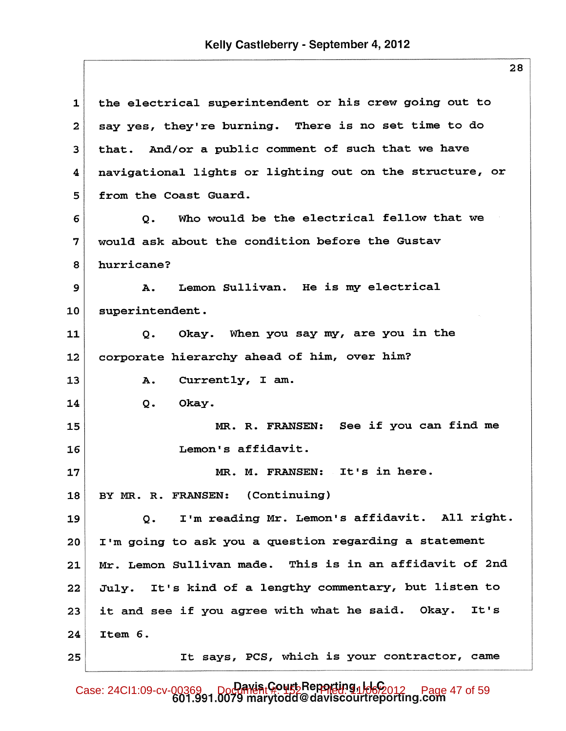| $\mathbf 1$  | the electrical superintendent or his crew going out to   |
|--------------|----------------------------------------------------------|
| $\mathbf{2}$ | say yes, they're burning. There is no set time to do     |
| 3            | that. And/or a public comment of such that we have       |
| 4            | navigational lights or lighting out on the structure, or |
| 5            | from the Coast Guard.                                    |
| 6            | Who would be the electrical fellow that we<br>Q.         |
| 7            | would ask about the condition before the Gustav          |
| 8            | hurricane?                                               |
| 9            | Lemon Sullivan. He is my electrical<br>A.                |
| 10           | superintendent.                                          |
| 11           | Okay. When you say my, are you in the<br>Q.              |
| 12           | corporate hierarchy ahead of him, over him?              |
| 13           | Currently, I am.<br>Α.                                   |
| 14           | Okay.<br>$Q$ .                                           |
| 15           | MR. R. FRANSEN: See if you can find me                   |
| 16           | Lemon's affidavit.                                       |
| 17           | MR. M. FRANSEN: It's in here.                            |
| 18           | BY MR. R. FRANSEN: (Continuing)                          |
| 19           | I'm reading Mr. Lemon's affidavit. All right.<br>$Q$ .   |
| 20           | I'm going to ask you a question regarding a statement    |
| 21           | Mr. Lemon Sullivan made. This is in an affidavit of 2nd  |
| 22           | July. It's kind of a lengthy commentary, but listen to   |
| 23           | it and see if you agree with what he said. Okay. It's    |
| 24           | Item 6.                                                  |
| 25           | It says, PCS, which is your contractor, came             |

Case: 24CI1:09-cv-00369 Doctation Davis Court Reporting 1 Hego 12 Page 47 of 59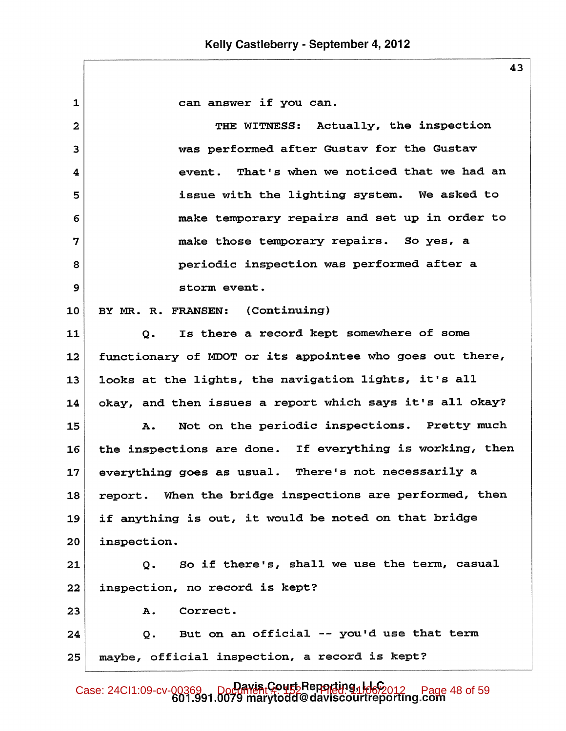$\mathbf{1}$ can answer if you can. THE WITNESS: Actually, the inspection  $\overline{a}$ was performed after Gustav for the Gustav  $\overline{\mathbf{3}}$ That's when we noticed that we had an 4 event. issue with the lighting system. We asked to 5 make temporary repairs and set up in order to 6 make those temporary repairs. So yes, a 7 periodic inspection was performed after a 8 storm event. 9 10 BY MR. R. FRANSEN: (Continuing) Is there a record kept somewhere of some 11  $\mathsf{o}$ .  $12 \overline{ }$ functionary of MDOT or its appointee who goes out there, looks at the lights, the navigation lights, it's all  $13$ okay, and then issues a report which says it's all okay? 14 Not on the periodic inspections. Pretty much 15 A. the inspections are done. If everything is working, then 16 everything goes as usual. There's not necessarily a 17 report. When the bridge inspections are performed, then 18 if anything is out, it would be noted on that bridge 19 inspection.  $20<sub>1</sub>$ 21 So if there's, shall we use the term, casual  $Q<sub>z</sub>$  $22 \,$ inspection, no record is kept? Correct. 23  $\mathbf{A}$ . But on an official -- you'd use that term 24  $Q<sub>o</sub>$ maybe, official inspection, a record is kept? 25

Case: 24CI1:09-cv-00369 DoCument Court Reporting 1 Hebpert Page 48 of 59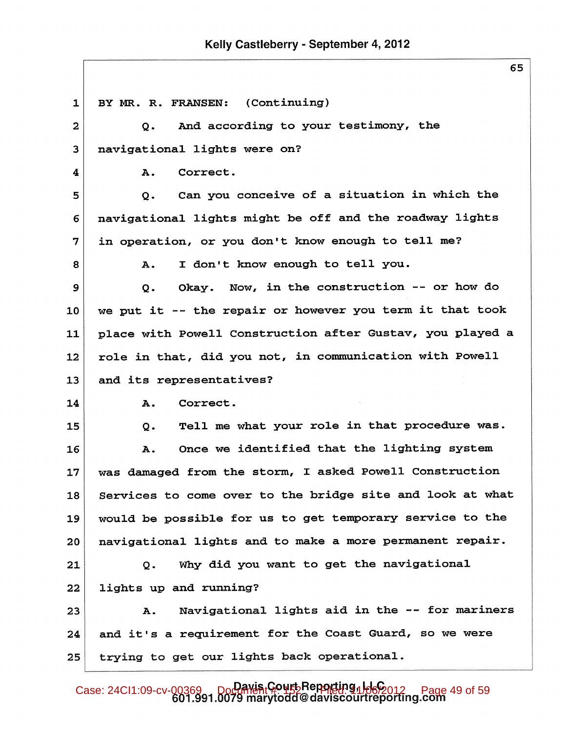## Kelly Castleberry - September 4, 2012

(Continuing)  $\mathbf{1}$ BY MR. R. FRANSEN: And according to your testimony, the  $\mathbf{z}$  $Q<sub>z</sub>$  $\overline{\mathbf{3}}$ navigational lights were on? 4 A. Correct. Can you conceive of a situation in which the 5  $\mathbf{o}$ . 6 navigational lights might be off and the roadway lights in operation, or you don't know enough to tell me? 7 I don't know enough to tell you. 8 Α. Okay. Now, in the construction -- or how do 9  $\mathbf{o}$ . we put it -- the repair or however you term it that took 10 place with Powell Construction after Gustav, you played a 11  $12 \overline{ }$ role in that, did you not, in communication with Powell and its representatives? 13 14 Correct.  $\mathbf{A}$ . Tell me what your role in that procedure was. 15  $Q<sub>z</sub>$ Once we identified that the lighting system 16 Α. was damaged from the storm, I asked Powell Construction 17 Services to come over to the bridge site and look at what 18 would be possible for us to get temporary service to the 19 navigational lights and to make a more permanent repair. 20 Why did you want to get the navigational 21  $Q<sub>o</sub>$ 22 lights up and running? Navigational lights aid in the -- for mariners 23 Α. and it's a requirement for the Coast Guard, so we were 24 trying to get our lights back operational. 25

Case: 24CI1:09-cv-00369 Document Court Reporting 1 Hego 12 Page 49 of 59<br>601.991.0079 marytodd@daviscourtreporting.com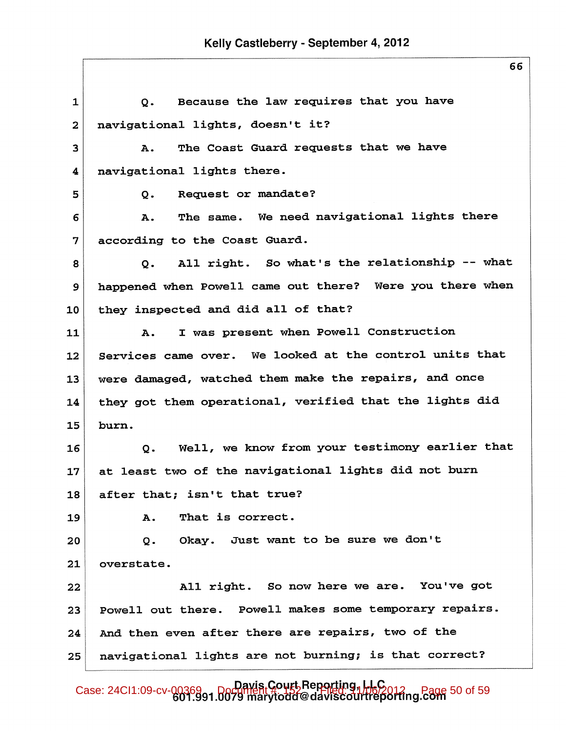| $\mathbf{1}$ | Because the law requires that you have<br>Q.                   |
|--------------|----------------------------------------------------------------|
| $\mathbf{2}$ | navigational lights, doesn't it?                               |
| 3            | The Coast Guard requests that we have<br>Α.                    |
| 4            | navigational lights there.                                     |
| 5            | Request or mandate?<br>$Q -$                                   |
| 6            | The same. We need navigational lights there<br>Α.              |
| 7            | according to the Coast Guard.                                  |
| 8            | All right. So what's the relationship -- what<br>$Q_{\bullet}$ |
| 9            | happened when Powell came out there? Were you there when       |
| 10           | they inspected and did all of that?                            |
| 11           | I was present when Powell Construction<br>А.                   |
| 12           | Services came over. We looked at the control units that        |
| 13           | were damaged, watched them make the repairs, and once          |
| 14           | they got them operational, verified that the lights did        |
| 15           | burn.                                                          |
| 16           | Well, we know from your testimony earlier that<br>$Q$ .        |
| 17           | at least two of the navigational lights did not burn           |
| 18           | after that; isn't that true?                                   |
| 19           | That is correct.<br>Α.                                         |
| 20           | Q. Okay. Just want to be sure we don't                         |
| 21           | overstate.                                                     |
| 22           | All right. So now here we are. You've got                      |
| 23           | Powell out there. Powell makes some temporary repairs.         |
| 24           | And then even after there are repairs, two of the              |
| 25           | navigational lights are not burning; is that correct?          |

Case: 24CI1:09-cv-0036991.0079 marytodd@daviscourtreporting. Page 50 of 59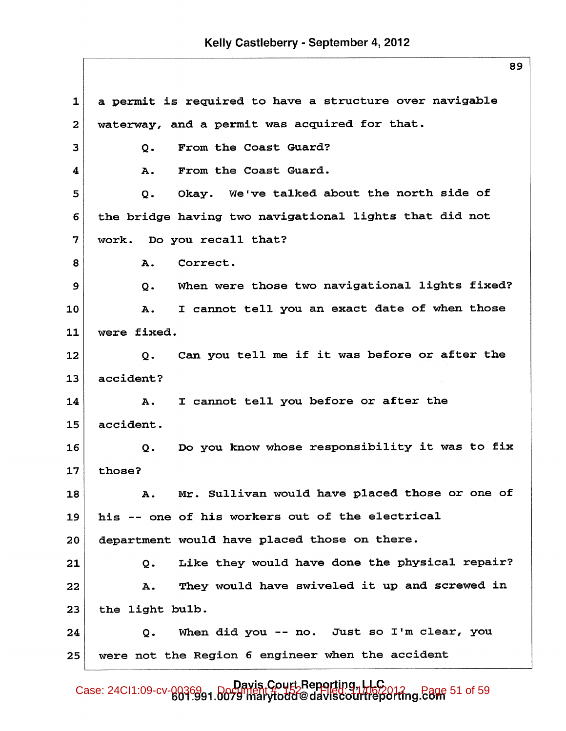$\mathbf{1}$ a permit is required to have a structure over navigable  $\overline{2}$ waterway, and a permit was acquired for that. From the Coast Guard? 3  $Q<sub>z</sub>$ From the Coast Guard. 4 Α. Okay. We've talked about the north side of 5 Q. the bridge having two navigational lights that did not 6  $\overline{7}$ work. Do you recall that? 8 Α. Correct. When were those two navigational lights fixed?  $\mathbf{9}$  $\mathbf{o}$ . I cannot tell you an exact date of when those 10 **A.**  $11$ were fixed. Can you tell me if it was before or after the 12  $Q$ .  $13$ accident? I cannot tell you before or after the 14 **A.** 15 accident. Do you know whose responsibility it was to fix 16  $Q<sub>o</sub>$  $17$ those? Mr. Sullivan would have placed those or one of 18 Α. his -- one of his workers out of the electrical 19 department would have placed those on there. 20 Like they would have done the physical repair? 21  $Q<sub>z</sub>$ They would have swiveled it up and screwed in Α. 22  $23$ the light bulb. When did you -- no. Just so I'm clear, you 24  $Q$ . were not the Region 6 engineer when the accident 25

Davis Court Reporting, LLC<br>Case: 24CI1:09-cv-00369 01.0079 marytodd@daviscourtreporting.com 51 of 59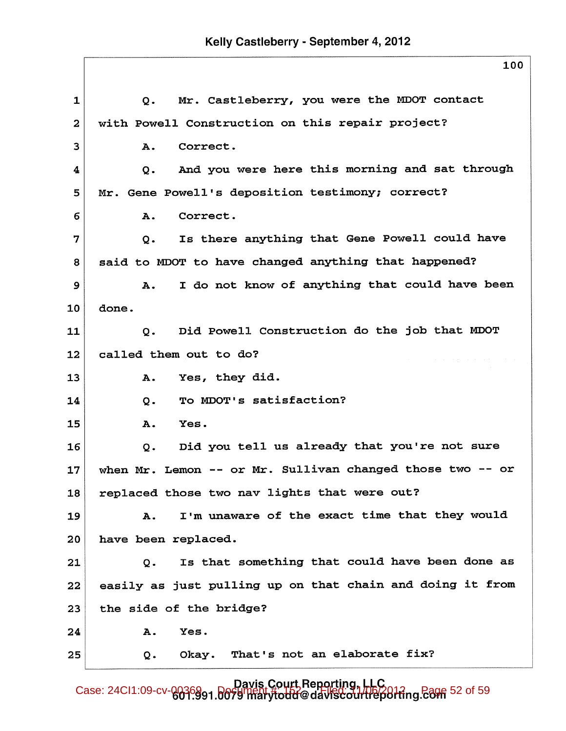| Mr. Castleberry, you were the MDOT contact<br>Q.                |
|-----------------------------------------------------------------|
| with Powell Construction on this repair project?                |
| Correct.<br>А.                                                  |
| And you were here this morning and sat through<br>$Q$ .         |
| Mr. Gene Powell's deposition testimony; correct?                |
| Correct.<br>А.                                                  |
| Is there anything that Gene Powell could have<br>$Q$ .          |
| said to MDOT to have changed anything that happened?            |
| I do not know of anything that could have been<br>А.            |
| done.                                                           |
| Did Powell Construction do the job that MDOT<br>Q.              |
| called them out to do?                                          |
| Yes, they did.<br>А.                                            |
| To MDOT's satisfaction?<br>$Q$ .                                |
| Yes.<br>Α.                                                      |
| Did you tell us already that you're not sure<br>$Q$ .           |
| when Mr. Lemon -- or Mr. Sullivan changed those two -- or       |
| replaced those two nav lights that were out?                    |
| I'm unaware of the exact time that they would<br>$\mathbf{A}$ . |
| have been replaced.                                             |
| Is that something that could have been done as<br>Q.            |
| easily as just pulling up on that chain and doing it from       |
| the side of the bridge?                                         |
| Yes.<br>Α.                                                      |
| Okay. That's not an elaborate fix?<br>Q.                        |
|                                                                 |

Davis, Court Reporting, LLC<br>Case: 24CI1:09-cv-0036991.0079 marytodd@daviscourtreporting.com 52 of 59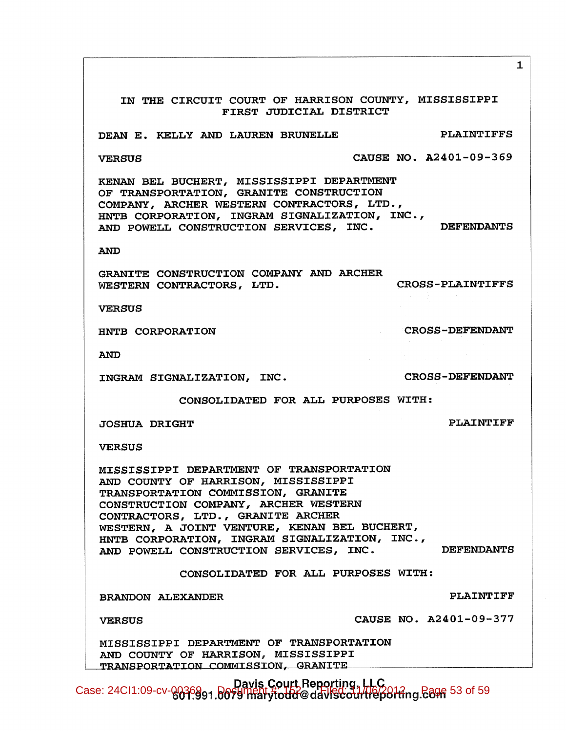IN THE CIRCUIT COURT OF HARRISON COUNTY, MISSISSIPPI FIRST JUDICIAL DISTRICT DEAN E. KELLY AND LAUREN BRUNELLE **PLAINTIFFS** CAUSE NO. A2401-09-369 **VERSUS** KENAN BEL BUCHERT, MISSISSIPPI DEPARTMENT OF TRANSPORTATION, GRANITE CONSTRUCTION COMPANY, ARCHER WESTERN CONTRACTORS, LTD., HNTB CORPORATION, INGRAM SIGNALIZATION, INC., AND POWELL CONSTRUCTION SERVICES, INC. **DEFENDANTS AND** GRANITE CONSTRUCTION COMPANY AND ARCHER CROSS-PLAINTIFFS WESTERN CONTRACTORS, LTD. **VERSUS CROSS-DEFENDANT** HNTB CORPORATION **AND CROSS-DEFENDANT** INGRAM SIGNALIZATION, INC. CONSOLIDATED FOR ALL PURPOSES WITH: **PLAINTIFF JOSHUA DRIGHT VERSUS** MISSISSIPPI DEPARTMENT OF TRANSPORTATION AND COUNTY OF HARRISON, MISSISSIPPI TRANSPORTATION COMMISSION, GRANITE CONSTRUCTION COMPANY, ARCHER WESTERN CONTRACTORS, LTD., GRANITE ARCHER WESTERN, A JOINT VENTURE, KENAN BEL BUCHERT, HNTB CORPORATION, INGRAM SIGNALIZATION, INC., **DEFENDANTS** AND POWELL CONSTRUCTION SERVICES, INC. CONSOLIDATED FOR ALL PURPOSES WITH: **PLAINTIFF BRANDON ALEXANDER** CAUSE NO. A2401-09-377 **VERSUS** MISSISSIPPI DEPARTMENT OF TRANSPORTATION AND COUNTY OF HARRISON, MISSISSIPPI TRANSPORTATION COMMISSION, GRANITE

 $\mathbf{1}$ 

Davis Court Reporting, LLC<br>Case: 24CI1:09-cv-0036991.0079 Thatytodd@daviscourtreporting. E89 53 of 59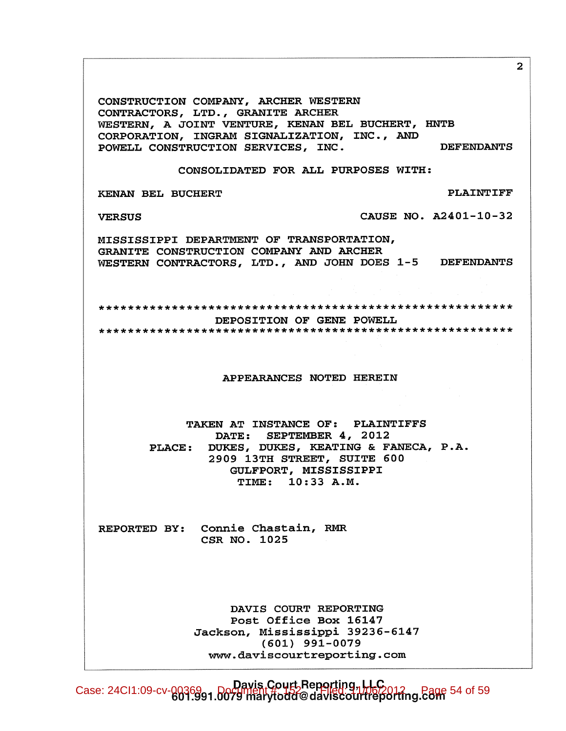$\overline{2}$ CONSTRUCTION COMPANY, ARCHER WESTERN CONTRACTORS, LTD., GRANITE ARCHER WESTERN, A JOINT VENTURE, KENAN BEL BUCHERT, HNTB CORPORATION, INGRAM SIGNALIZATION, INC., AND POWELL CONSTRUCTION SERVICES, INC. **DEFENDANTS** CONSOLIDATED FOR ALL PURPOSES WITH: **PLAINTIFF** KENAN BEL BUCHERT CAUSE NO. A2401-10-32 **VERSUS** MISSISSIPPI DEPARTMENT OF TRANSPORTATION, GRANITE CONSTRUCTION COMPANY AND ARCHER WESTERN CONTRACTORS, LTD., AND JOHN DOES 1-5 DEFENDANTS DEPOSITION OF GENE POWELL APPEARANCES NOTED HEREIN TAKEN AT INSTANCE OF: PLAINTIFFS DATE: SEPTEMBER 4, 2012 DUKES, DUKES, KEATING & FANECA, P.A. **PLACE:** 2909 13TH STREET, SUITE 600 GULFPORT, MISSISSIPPI TIME: 10:33 A.M. REPORTED BY: Connie Chastain, RMR CSR NO. 1025 DAVIS COURT REPORTING Post Office Box 16147 Jackson, Mississippi 39236-6147  $(601)$  991-0079 www.daviscourtreporting.com

Davis Court Reporting, LLC<br>Case: 24CI1:09-cv-0036991.0079 marytodd@daviscourtreporting.com 54 of 59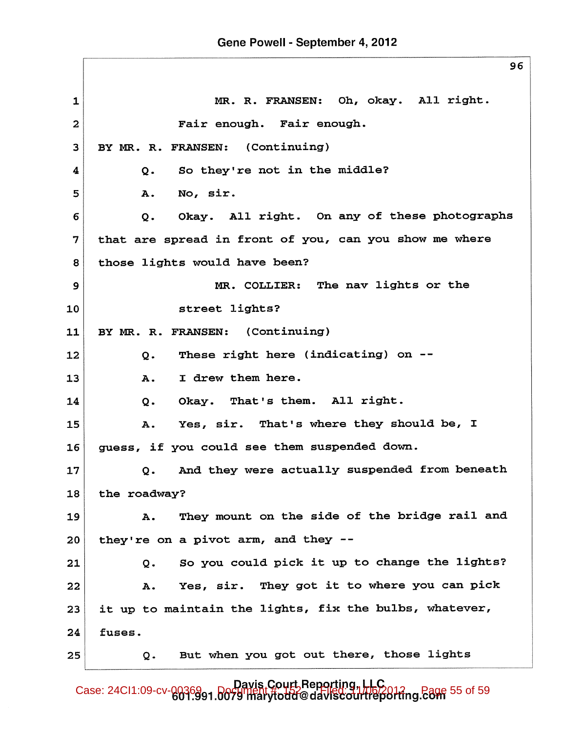$\mathbf{1}$ MR. R. FRANSEN: Oh, okay. All right. Fair enough. Fair enough.  $\overline{2}$ BY MR. R. FRANSEN: (Continuing) 3 So they're not in the middle? 4  $\mathbf{o}$ . No, sir. 5 **A.** Okay. All right. On any of these photographs 6  $\mathbf{o}$ . 7 that are spread in front of you, can you show me where those lights would have been? 8 MR. COLLIER: The nav lights or the 9 street lights? 10 11 BY MR. R. FRANSEN: (Continuing) These right here (indicating) on --12 Q. I drew them here.  $13$ A. That's them. All right. 14  $Q -$ Okay. That's where they should be, I 15 **A.** Yes, sir. guess, if you could see them suspended down. 16 And they were actually suspended from beneath 17  $Q$ . the roadway? 18 They mount on the side of the bridge rail and 19 A. they're on a pivot arm, and they --20 So you could pick it up to change the lights? 21  $\overline{O}$ . Yes, sir. They got it to where you can pick 22 A. it up to maintain the lights, fix the bulbs, whatever, 23 24 fuses. But when you got out there, those lights 25 Q.

Davis Court Reporting, LLC<br>Case: 24CI1:09-cv-0036991.0079 marytodd@daviscourtreporting.com 55 of 59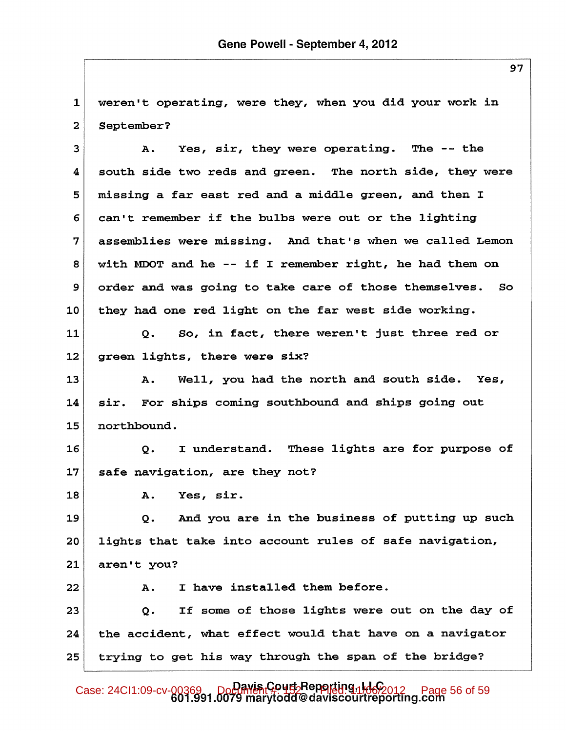$\mathbf{1}$ weren't operating, were they, when you did your work in  $\overline{2}$ September?

3 Α. Yes, sir, they were operating. The -- the south side two reds and green. The north side, they were 4 missing a far east red and a middle green, and then I 5 can't remember if the bulbs were out or the lighting 6 assemblies were missing. And that's when we called Lemon 7 with MDOT and he -- if I remember right, he had them on 8  $\mathbf{9}$ order and was going to take care of those themselves.  $So$ they had one red light on the far west side working. 10

So, in fact, there weren't just three red or 11  $Q<sub>z</sub>$ 12 green lights, there were six?

Well, you had the north and south side. 13 Α. Yes, For ships coming southbound and ships going out 14 sir. 15 northbound.

 $16$ I understand. These lights are for purpose of  $\mathsf{o}$ . safe navigation, are they not? 17

18

Yes, sir. Α.

And you are in the business of putting up such 19 Q. lights that take into account rules of safe navigation, 20 21 aren't you?

I have installed them before. 22 Α. If some of those lights were out on the day of 23  $\overline{O}$ . 24 the accident, what effect would that have on a navigator trying to get his way through the span of the bridge? 25

Case: 24Cl1:09-cv-00369 DoClimenCourtSeperting, 14662012 Page 56 of 59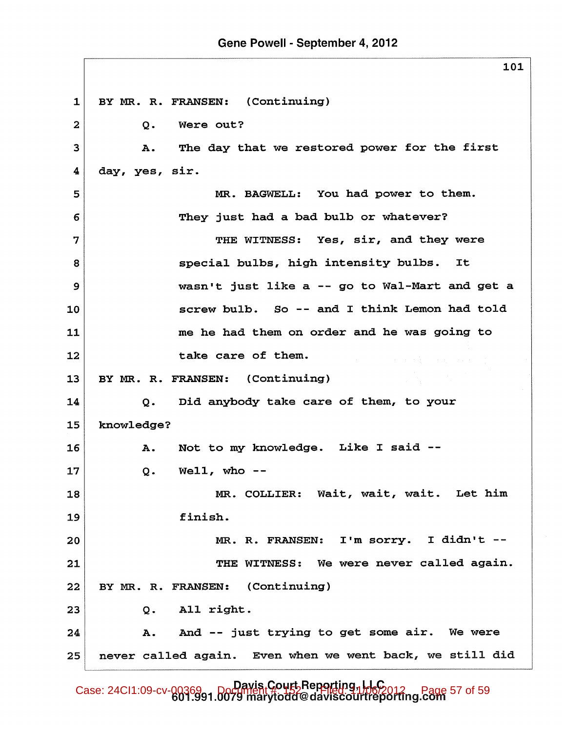BY MR. R. FRANSEN: (Continuing)  $\mathbf{1}$  $\overline{2}$  $Q$ . Were out? The day that we restored power for the first 3 A. 4 day, yes, sir. 5 MR. BAGWELL: You had power to them. They just had a bad bulb or whatever? 6 THE WITNESS: Yes, sir, and they were 7 8 special bulbs, high intensity bulbs. It wasn't just like a -- go to Wal-Mart and get a  $\mathbf{9}$ screw bulb. So -- and I think Lemon had told  $10$ 11 me he had them on order and he was going to take care of them. 12 BY MR. R. FRANSEN: (Continuing)  $13<sub>2</sub>$ Did anybody take care of them, to your 14  $Q<sub>z</sub>$ knowledge? 15 Not to my knowledge. Like I said --16 A. 17 Q. Well, who  $--$ MR. COLLIER: Wait, wait, wait. Let him 18 19 finish. MR. R. FRANSEN: I'm sorry. I didn't --20 THE WITNESS: We were never called again. 21 BY MR. R. FRANSEN: (Continuing)  $22<sub>1</sub>$ 23 All right. Q. And -- just trying to get some air. We were 24 Α. never called again. Even when we went back, we still did 25

Case: 24CI1:09-cv-00369 Davis Court Reporting, LLC page 57 of 59<br>Case: 24CI1:09-cv-00369 narytodd@daviscourtreporting.com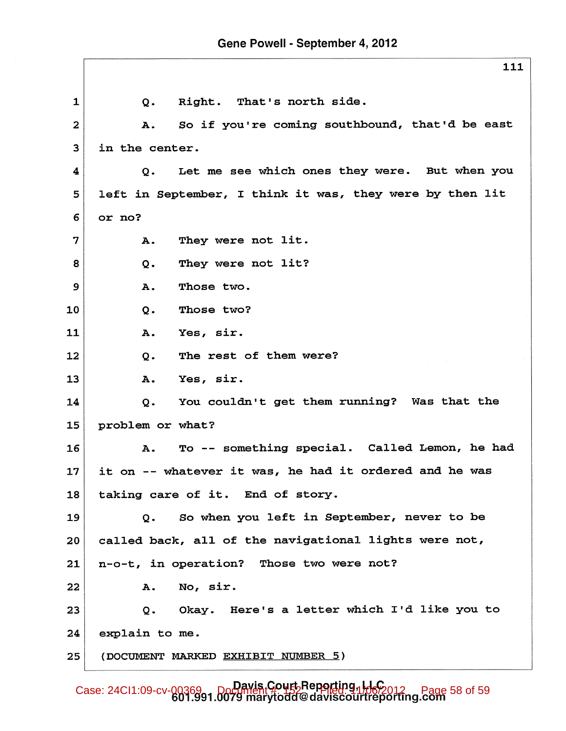Right. That's north side.  $\mathbf{1}$  $Q<sub>z</sub>$ So if you're coming southbound, that'd be east  $\overline{a}$ **A.** in the center. 3 Let me see which ones they were. But when you  $\overline{\mathbf{4}}$  $\mathbf{o}$ . 5 left in September, I think it was, they were by then lit 6 or no? 7 They were not lit. **A.** They were not lit? 8  $Q<sub>z</sub>$ Those two.  $9$ Α. 10  $Q<sub>z</sub>$ Those two? 11 Yes, sir. **A.** The rest of them were? 12  $Q -$ Yes, sir. 13 **A.** You couldn't get them running? Was that the 14  $Q<sub>z</sub>$ 15 problem or what? To -- something special. Called Lemon, he had 16  $A.$  $17<sub>2</sub>$ it on -- whatever it was, he had it ordered and he was taking care of it. End of story. 18 So when you left in September, never to be 19  $Q<sub>z</sub>$ called back, all of the navigational lights were not, 20 n-o-t, in operation? Those two were not? 21 22 No, sir. А. Okay. Here's a letter which I'd like you to 23 Q. 24 explain to me. (DOCUMENT MARKED EXHIBIT NUMBER 5) 25

Case: 24CI1:09-cv-00369 Davis Court Reporting, LLC Page 58 of 59<br>601.991.0079 marytodd@daviscourtreporting.com